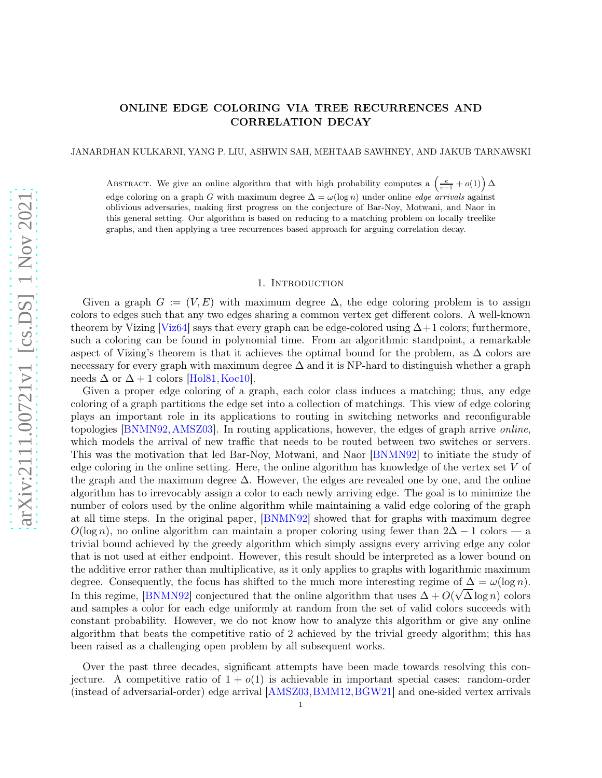# ONLINE EDGE COLORING VIA TREE RECURRENCES AND CORRELATION DECAY

JANARDHAN KULKARNI, YANG P. LIU, ASHWIN SAH, MEHTAAB SAWHNEY, AND JAKUB TARNAWSKI

ABSTRACT. We give an online algorithm that with high probability computes a  $\left(\frac{e}{e-1}+o(1)\right)\Delta$ edge coloring on a graph G with maximum degree  $\Delta = \omega(\log n)$  under online *edge arrivals* against oblivious adversaries, making first progress on the conjecture of Bar-Noy, Motwani, and Naor in this general setting. Our algorithm is based on reducing to a matching problem on locally treelike graphs, and then applying a tree recurrences based approach for arguing correlation decay.

#### 1. INTRODUCTION

Given a graph  $G := (V, E)$  with maximum degree  $\Delta$ , the edge coloring problem is to assign colors to edges such that any two edges sharing a common vertex get different colors. A well-known theorem by Vizing [\[Viz64\]](#page-16-0) says that every graph can be edge-colored using  $\Delta+1$  colors; furthermore, such a coloring can be found in polynomial time. From an algorithmic standpoint, a remarkable aspect of Vizing's theorem is that it achieves the optimal bound for the problem, as  $\Delta$  colors are necessary for every graph with maximum degree  $\Delta$  and it is NP-hard to distinguish whether a graph needs  $\Delta$  or  $\Delta + 1$  colors [\[Hol81,](#page-16-1) [Koc10\]](#page-16-2).

Given a proper edge coloring of a graph, each color class induces a matching; thus, any edge coloring of a graph partitions the edge set into a collection of matchings. This view of edge coloring plays an important role in its applications to routing in switching networks and reconfigurable topologies [\[BNMN92,](#page-15-0)[AMSZ03\]](#page-15-1). In routing applications, however, the edges of graph arrive *online*, which models the arrival of new traffic that needs to be routed between two switches or servers. This was the motivation that led Bar-Noy, Motwani, and Naor [\[BNMN92\]](#page-15-0) to initiate the study of edge coloring in the online setting. Here, the online algorithm has knowledge of the vertex set V of the graph and the maximum degree ∆. However, the edges are revealed one by one, and the online algorithm has to irrevocably assign a color to each newly arriving edge. The goal is to minimize the number of colors used by the online algorithm while maintaining a valid edge coloring of the graph at all time steps. In the original paper, [\[BNMN92\]](#page-15-0) showed that for graphs with maximum degree  $O(\log n)$ , no online algorithm can maintain a proper coloring using fewer than  $2\Delta - 1$  colors — a trivial bound achieved by the greedy algorithm which simply assigns every arriving edge any color that is not used at either endpoint. However, this result should be interpreted as a lower bound on the additive error rather than multiplicative, as it only applies to graphs with logarithmic maximum degree. Consequently, the focus has shifted to the much more interesting regime of  $\Delta = \omega(\log n)$ . In this regime, [\[BNMN92\]](#page-15-0) conjectured that the online algorithm that uses  $\Delta + O(\sqrt{\Delta}\log n)$  colors and samples a color for each edge uniformly at random from the set of valid colors succeeds with constant probability. However, we do not know how to analyze this algorithm or give any online algorithm that beats the competitive ratio of 2 achieved by the trivial greedy algorithm; this has been raised as a challenging open problem by all subsequent works.

Over the past three decades, significant attempts have been made towards resolving this conjecture. A competitive ratio of  $1 + o(1)$  is achievable in important special cases: random-order (instead of adversarial-order) edge arrival [\[AMSZ03,](#page-15-1)[BMM12,](#page-15-2)[BGW21\]](#page-15-3) and one-sided vertex arrivals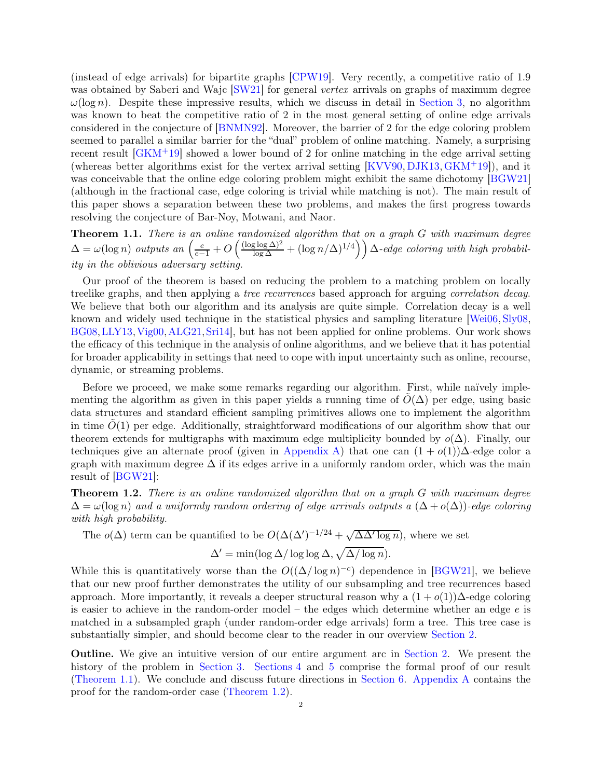(instead of edge arrivals) for bipartite graphs [\[CPW19\]](#page-15-4). Very recently, a competitive ratio of 1.9 was obtained by Saberi and Wajc [\[SW21\]](#page-16-3) for general *vertex* arrivals on graphs of maximum degree  $\omega(\log n)$ . Despite these impressive results, which we discuss in detail in [Section 3,](#page-5-0) no algorithm was known to beat the competitive ratio of 2 in the most general setting of online edge arrivals considered in the conjecture of [\[BNMN92\]](#page-15-0). Moreover, the barrier of 2 for the edge coloring problem seemed to parallel a similar barrier for the "dual" problem of online matching. Namely, a surprising recent result [\[GKM](#page-16-4)+19] showed a lower bound of 2 for online matching in the edge arrival setting (whereas better algorithms exist for the vertex arrival setting  $[KVV90, DIK13, GKM+19]$  $[KVV90, DIK13, GKM+19]$  $[KVV90, DIK13, GKM+19]$ ), and it was conceivable that the online edge coloring problem might exhibit the same dichotomy [\[BGW21\]](#page-15-3) (although in the fractional case, edge coloring is trivial while matching is not). The main result of this paper shows a separation between these two problems, and makes the first progress towards resolving the conjecture of Bar-Noy, Motwani, and Naor.

<span id="page-1-0"></span>Theorem 1.1. *There is an online randomized algorithm that on a graph* G *with maximum degree*  $\Delta = \omega(\log n)$  *outputs an*  $\left(\frac{e}{e-1} + O\left(\frac{(\log \log \Delta)^2}{\log \Delta} + (\log n/\Delta)^{1/4}\right)\right) \Delta$ -edge coloring with high probabil*ity in the oblivious adversary setting.*

Our proof of the theorem is based on reducing the problem to a matching problem on locally treelike graphs, and then applying a *tree recurrences* based approach for arguing *correlation decay*. We believe that both our algorithm and its analysis are quite simple. Correlation decay is a well known and widely used technique in the statistical physics and sampling literature [\[Wei06,](#page-16-6) [Sly08,](#page-16-7) [BG08,](#page-15-6)[LLY13,](#page-16-8)[Vig00,](#page-16-9)[ALG21,](#page-15-7)[Sri14\]](#page-16-10), but has not been applied for online problems. Our work shows the efficacy of this technique in the analysis of online algorithms, and we believe that it has potential for broader applicability in settings that need to cope with input uncertainty such as online, recourse, dynamic, or streaming problems.

Before we proceed, we make some remarks regarding our algorithm. First, while naïvely implementing the algorithm as given in this paper yields a running time of  $\tilde{O}(\Delta)$  per edge, using basic data structures and standard efficient sampling primitives allows one to implement the algorithm in time  $\hat{O}(1)$  per edge. Additionally, straightforward modifications of our algorithm show that our theorem extends for multigraphs with maximum edge multiplicity bounded by  $o(\Delta)$ . Finally, our techniques give an alternate proof (given in [Appendix A\)](#page-16-11) that one can  $(1 + o(1))\Delta$ -edge color a graph with maximum degree  $\Delta$  if its edges arrive in a uniformly random order, which was the main result of [\[BGW21\]](#page-15-3):

<span id="page-1-1"></span>Theorem 1.2. *There is an online randomized algorithm that on a graph* G *with maximum degree*  $\Delta = \omega(\log n)$  *and a uniformly random ordering of edge arrivals outputs a*  $(\Delta + o(\Delta))$ *-edge coloring with high probability.*

# The  $o(\Delta)$  term can be quantified to be  $O(\Delta(\Delta')^{-1/24} + \sqrt{\Delta \Delta' \log n})$ , where we set  $\Delta' = \min(\log \Delta / \log \log \Delta, \sqrt{\Delta / \log n}).$

While this is quantitatively worse than the  $O((\Delta/\log n)^{-c})$  dependence in [\[BGW21\]](#page-15-3), we believe that our new proof further demonstrates the utility of our subsampling and tree recurrences based approach. More importantly, it reveals a deeper structural reason why a  $(1 + o(1))\Delta$ -edge coloring is easier to achieve in the random-order model – the edges which determine whether an edge  $e$  is matched in a subsampled graph (under random-order edge arrivals) form a tree. This tree case is substantially simpler, and should become clear to the reader in our overview [Section 2.](#page-2-0)

Outline. We give an intuitive version of our entire argument arc in [Section 2.](#page-2-0) We present the history of the problem in [Section 3.](#page-5-0) [Sections 4](#page-6-0) and [5](#page-8-0) comprise the formal proof of our result [\(Theorem 1.1\)](#page-1-0). We conclude and discuss future directions in [Section 6.](#page-14-0) [Appendix A](#page-16-11) contains the proof for the random-order case [\(Theorem 1.2\)](#page-1-1).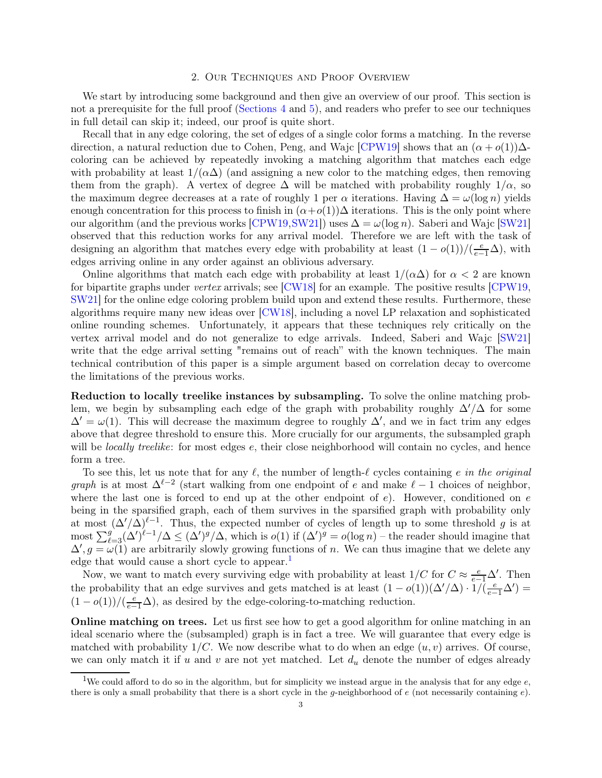#### 2. Our Techniques and Proof Overview

<span id="page-2-0"></span>We start by introducing some background and then give an overview of our proof. This section is not a prerequisite for the full proof [\(Sections 4](#page-6-0) and [5\)](#page-8-0), and readers who prefer to see our techniques in full detail can skip it; indeed, our proof is quite short.

Recall that in any edge coloring, the set of edges of a single color forms a matching. In the reverse direction, a natural reduction due to Cohen, Peng, and Wajc [\[CPW19\]](#page-15-4) shows that an  $(\alpha + o(1))\Delta$ coloring can be achieved by repeatedly invoking a matching algorithm that matches each edge with probability at least  $1/(\alpha\Delta)$  (and assigning a new color to the matching edges, then removing them from the graph). A vertex of degree  $\Delta$  will be matched with probability roughly  $1/\alpha$ , so the maximum degree decreases at a rate of roughly 1 per  $\alpha$  iterations. Having  $\Delta = \omega(\log n)$  yields enough concentration for this process to finish in  $(\alpha + o(1))\Delta$  iterations. This is the only point where our algorithm (and the previous works [\[CPW19,](#page-15-4)[SW21\]](#page-16-3)) uses  $\Delta = \omega(\log n)$ . Saberi and Wajc [\[SW21\]](#page-16-3) observed that this reduction works for any arrival model. Therefore we are left with the task of designing an algorithm that matches every edge with probability at least  $(1 - o(1))/(\frac{e}{e-1}\Delta)$ , with edges arriving online in any order against an oblivious adversary.

Online algorithms that match each edge with probability at least  $1/(\alpha\Delta)$  for  $\alpha < 2$  are known for bipartite graphs under *vertex* arrivals; see [\[CW18\]](#page-15-8) for an example. The positive results [\[CPW19,](#page-15-4) [SW21\]](#page-16-3) for the online edge coloring problem build upon and extend these results. Furthermore, these algorithms require many new ideas over [\[CW18\]](#page-15-8), including a novel LP relaxation and sophisticated online rounding schemes. Unfortunately, it appears that these techniques rely critically on the vertex arrival model and do not generalize to edge arrivals. Indeed, Saberi and Wajc [\[SW21\]](#page-16-3) write that the edge arrival setting "remains out of reach" with the known techniques. The main technical contribution of this paper is a simple argument based on correlation decay to overcome the limitations of the previous works.

Reduction to locally treelike instances by subsampling. To solve the online matching problem, we begin by subsampling each edge of the graph with probability roughly  $\Delta'/\Delta$  for some  $\Delta' = \omega(1)$ . This will decrease the maximum degree to roughly  $\Delta'$ , and we in fact trim any edges above that degree threshold to ensure this. More crucially for our arguments, the subsampled graph will be *locally treelike*: for most edges e, their close neighborhood will contain no cycles, and hence form a tree.

To see this, let us note that for any ℓ, the number of length-ℓ cycles containing e *in the original graph* is at most  $\Delta^{\ell-2}$  (start walking from one endpoint of e and make  $\ell-1$  choices of neighbor, where the last one is forced to end up at the other endpoint of  $e$ ). However, conditioned on  $e$ being in the sparsified graph, each of them survives in the sparsified graph with probability only at most  $(\Delta'/\Delta)^{\ell-1}$ . Thus, the expected number of cycles of length up to some threshold g is at most  $\sum_{\ell=3}^{g} (\Delta')^{(\ell-1)} \Delta \leq (\Delta')^{g} / \Delta$ , which is  $o(1)$  if  $(\Delta')^{g} = o(\log n)$  – the reader should imagine that  $\Delta', g = \omega(1)$  are arbitrarily slowly growing functions of n. We can thus imagine that we delete any edge that would cause a short cycle to appear.<sup>[1](#page-2-1)</sup>

Now, we want to match every surviving edge with probability at least  $1/C$  for  $C \approx \frac{e}{e-1}\Delta'$ . Then the probability that an edge survives and gets matched is at least  $(1 - o(1))(\Delta'/\Delta) \cdot 1/\overline{(e-1)\Delta'}$  $(1-o(1))/(\frac{e}{e-1}\Delta)$ , as desired by the edge-coloring-to-matching reduction.

Online matching on trees. Let us first see how to get a good algorithm for online matching in an ideal scenario where the (subsampled) graph is in fact a tree. We will guarantee that every edge is matched with probability  $1/C$ . We now describe what to do when an edge  $(u, v)$  arrives. Of course, we can only match it if u and v are not yet matched. Let  $d_u$  denote the number of edges already

<span id="page-2-1"></span><sup>&</sup>lt;sup>1</sup>We could afford to do so in the algorithm, but for simplicity we instead argue in the analysis that for any edge  $e$ , there is only a small probability that there is a short cycle in the q-neighborhood of  $e$  (not necessarily containing  $e$ ).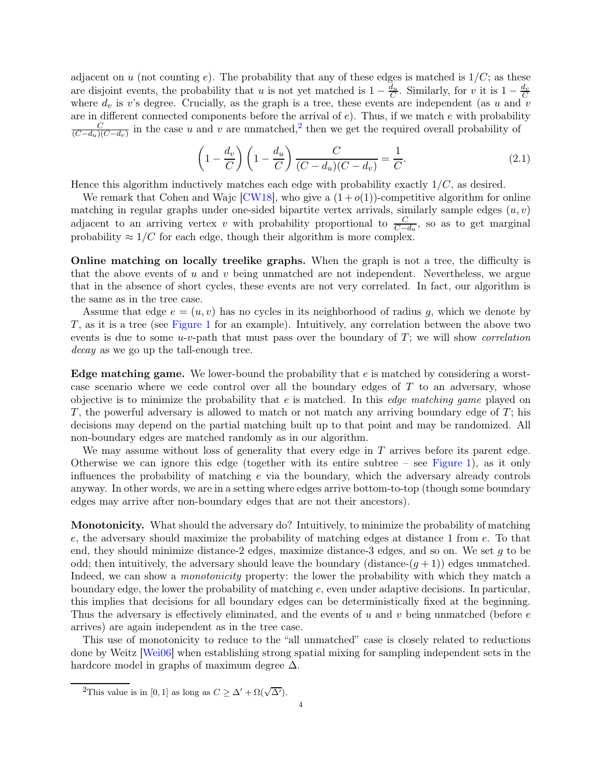adjacent on u (not counting e). The probability that any of these edges is matched is  $1/C$ ; as these are disjoint events, the probability that u is not yet matched is  $1 - \frac{d_u}{C}$ . Similarly, for v it is  $1 - \frac{d_v}{C}$ where  $d_v$  is v's degree. Crucially, as the graph is a tree, these events are independent (as u and v are in different connected components before the arrival of  $e$ ). Thus, if we match  $e$  with probability C  $\frac{C}{(C-d_u)(C-d_v)}$  in the case u and v are unmatched,<sup>[2](#page-3-0)</sup> then we get the required overall probability of

<span id="page-3-1"></span>
$$
\left(1 - \frac{d_v}{C}\right)\left(1 - \frac{d_u}{C}\right)\frac{C}{(C - d_u)(C - d_v)} = \frac{1}{C}.
$$
\n(2.1)

Hence this algorithm inductively matches each edge with probability exactly  $1/C$ , as desired.

We remark that Cohen and Wajc [\[CW18\]](#page-15-8), who give a  $(1+o(1))$ -competitive algorithm for online matching in regular graphs under one-sided bipartite vertex arrivals, similarly sample edges  $(u, v)$ adjacent to an arriving vertex v with probability proportional to  $\frac{C}{C-d_u}$ , so as to get marginal probability  $\approx 1/C$  for each edge, though their algorithm is more complex.

Online matching on locally treelike graphs. When the graph is not a tree, the difficulty is that the above events of u and v being unmatched are not independent. Nevertheless, we argue that in the absence of short cycles, these events are not very correlated. In fact, our algorithm is the same as in the tree case.

Assume that edge  $e = (u, v)$  has no cycles in its neighborhood of radius g, which we denote by T, as it is a tree (see [Figure 1](#page-4-0) for an example). Intuitively, any correlation between the above two events is due to some u-v-path that must pass over the boundary of T; we will show *correlation decay* as we go up the tall-enough tree.

Edge matching game. We lower-bound the probability that e is matched by considering a worstcase scenario where we cede control over all the boundary edges of  $T$  to an adversary, whose objective is to minimize the probability that e is matched. In this *edge matching game* played on T, the powerful adversary is allowed to match or not match any arriving boundary edge of  $T$ ; his decisions may depend on the partial matching built up to that point and may be randomized. All non-boundary edges are matched randomly as in our algorithm.

We may assume without loss of generality that every edge in  $T$  arrives before its parent edge. Otherwise we can ignore this edge (together with its entire subtree – see [Figure 1\)](#page-4-0), as it only influences the probability of matching  $e$  via the boundary, which the adversary already controls anyway. In other words, we are in a setting where edges arrive bottom-to-top (though some boundary edges may arrive after non-boundary edges that are not their ancestors).

Monotonicity. What should the adversary do? Intuitively, to minimize the probability of matching e, the adversary should maximize the probability of matching edges at distance 1 from e. To that end, they should minimize distance-2 edges, maximize distance-3 edges, and so on. We set g to be odd; then intuitively, the adversary should leave the boundary (distance- $(q + 1)$ ) edges unmatched. Indeed, we can show a *monotonicity* property: the lower the probability with which they match a boundary edge, the lower the probability of matching e, even under adaptive decisions. In particular, this implies that decisions for all boundary edges can be deterministically fixed at the beginning. Thus the adversary is effectively eliminated, and the events of u and v being unmatched (before  $e$ arrives) are again independent as in the tree case.

This use of monotonicity to reduce to the "all unmatched" case is closely related to reductions done by Weitz [\[Wei06\]](#page-16-6) when establishing strong spatial mixing for sampling independent sets in the hardcore model in graphs of maximum degree  $\Delta$ .

<span id="page-3-0"></span><sup>&</sup>lt;sup>2</sup>This value is in [0, 1] as long as  $C \geq \Delta' + \Omega(\sqrt{\Delta'})$ .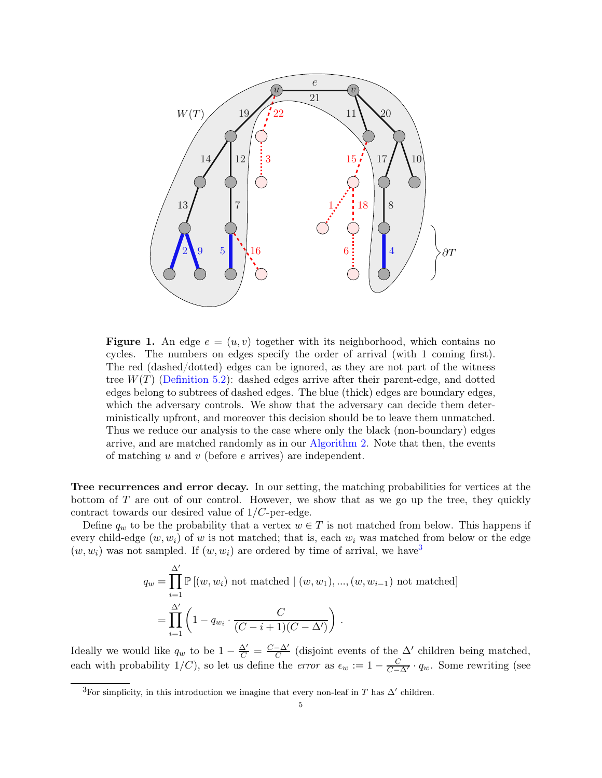<span id="page-4-0"></span>

**Figure 1.** An edge  $e = (u, v)$  together with its neighborhood, which contains no cycles. The numbers on edges specify the order of arrival (with 1 coming first). The red (dashed/dotted) edges can be ignored, as they are not part of the witness tree  $W(T)$  [\(Definition 5.2\)](#page-8-1): dashed edges arrive after their parent-edge, and dotted edges belong to subtrees of dashed edges. The blue (thick) edges are boundary edges, which the adversary controls. We show that the adversary can decide them deterministically upfront, and moreover this decision should be to leave them unmatched. Thus we reduce our analysis to the case where only the black (non-boundary) edges arrive, and are matched randomly as in our [Algorithm 2.](#page-8-2) Note that then, the events of matching u and v (before e arrives) are independent.

Tree recurrences and error decay. In our setting, the matching probabilities for vertices at the bottom of  $T$  are out of our control. However, we show that as we go up the tree, they quickly contract towards our desired value of  $1/C$ -per-edge.

Define  $q_w$  to be the probability that a vertex  $w \in T$  is not matched from below. This happens if every child-edge  $(w, w_i)$  of w is not matched; that is, each  $w_i$  was matched from below or the edge  $(w, w_i)$  was not sampled. If  $(w, w_i)$  are ordered by time of arrival, we have<sup>[3](#page-4-1)</sup>

$$
q_w = \prod_{i=1}^{\Delta'} \mathbb{P} \left[ (w, w_i) \text{ not matched } | (w, w_1), ..., (w, w_{i-1}) \text{ not matched} \right]
$$

$$
= \prod_{i=1}^{\Delta'} \left( 1 - q_{w_i} \cdot \frac{C}{(C - i + 1)(C - \Delta')} \right).
$$

Ideally we would like  $q_w$  to be  $1 - \frac{\Delta'}{C} = \frac{C - \Delta'}{C}$  $\frac{-\Delta'}{C}$  (disjoint events of the  $\Delta'$  children being matched, each with probability  $1/C$ ), so let us define the *error* as  $\epsilon_w := 1 - \frac{C}{C-\Delta'} \cdot q_w$ . Some rewriting (see

<span id="page-4-1"></span><sup>&</sup>lt;sup>3</sup>For simplicity, in this introduction we imagine that every non-leaf in T has  $\Delta'$  children.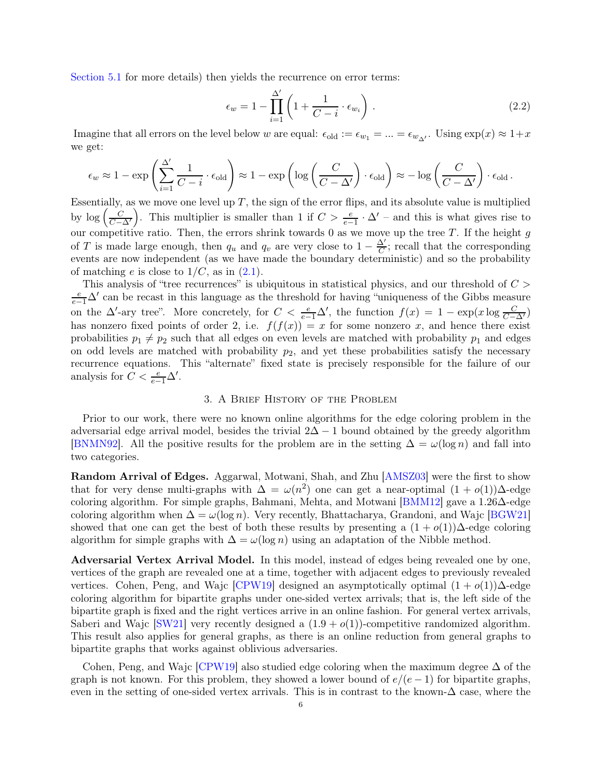[Section 5.1](#page-10-0) for more details) then yields the recurrence on error terms:

<span id="page-5-1"></span>
$$
\epsilon_w = 1 - \prod_{i=1}^{\Delta'} \left( 1 + \frac{1}{C - i} \cdot \epsilon_{w_i} \right). \tag{2.2}
$$

Imagine that all errors on the level below w are equal:  $\epsilon_{old} := \epsilon_{w_1} = ... = \epsilon_{w_{\Delta'}}$ . Using  $\exp(x) \approx 1+x$ we get:

$$
\epsilon_w \approx 1 - \exp\left(\sum_{i=1}^{\Delta'} \frac{1}{C-i} \cdot \epsilon_{\text{old}}\right) \approx 1 - \exp\left(\log\left(\frac{C}{C-\Delta'}\right) \cdot \epsilon_{\text{old}}\right) \approx -\log\left(\frac{C}{C-\Delta'}\right) \cdot \epsilon_{\text{old}}.
$$

Essentially, as we move one level up  $T$ , the sign of the error flips, and its absolute value is multiplied by  $\log\left(\frac{C}{C-\Delta'}\right)$ ). This multiplier is smaller than 1 if  $C > \frac{e}{e-1} \cdot \Delta'$  – and this is what gives rise to our competitive ratio. Then, the errors shrink towards 0 as we move up the tree  $T$ . If the height  $g$ of T is made large enough, then  $q_u$  and  $q_v$  are very close to  $1 - \frac{\Delta'}{C}$  $\frac{\Delta'}{C}$ ; recall that the corresponding events are now independent (as we have made the boundary deterministic) and so the probability of matching e is close to  $1/C$ , as in  $(2.1)$ .

This analysis of "tree recurrences" is ubiquitous in statistical physics, and our threshold of  $C >$  $\frac{e}{e-1}\Delta'$  can be recast in this language as the threshold for having "uniqueness of the Gibbs measure on the  $\Delta'$ -ary tree". More concretely, for  $C < \frac{e}{e-1}\Delta'$ , the function  $f(x) = 1 - \exp(x \log \frac{C}{C-\Delta'})$ has nonzero fixed points of order 2, i.e.  $f(f(x)) = x$  for some nonzero x, and hence there exist probabilities  $p_1 \neq p_2$  such that all edges on even levels are matched with probability  $p_1$  and edges on odd levels are matched with probability  $p_2$ , and yet these probabilities satisfy the necessary recurrence equations. This "alternate" fixed state is precisely responsible for the failure of our analysis for  $C < \frac{e}{e-1}\Delta'$ .

## 3. A Brief History of the Problem

<span id="page-5-0"></span>Prior to our work, there were no known online algorithms for the edge coloring problem in the adversarial edge arrival model, besides the trivial  $2\Delta - 1$  bound obtained by the greedy algorithm [\[BNMN92\]](#page-15-0). All the positive results for the problem are in the setting  $\Delta = \omega(\log n)$  and fall into two categories.

Random Arrival of Edges. Aggarwal, Motwani, Shah, and Zhu [\[AMSZ03\]](#page-15-1) were the first to show that for very dense multi-graphs with  $\Delta = \omega(n^2)$  one can get a near-optimal  $(1 + o(1))\Delta$ -edge coloring algorithm. For simple graphs, Bahmani, Mehta, and Motwani [\[BMM12\]](#page-15-2) gave a 1.26∆-edge coloring algorithm when  $\Delta = \omega(\log n)$ . Very recently, Bhattacharya, Grandoni, and Wajc [\[BGW21\]](#page-15-3) showed that one can get the best of both these results by presenting a  $(1 + o(1))\Delta$ -edge coloring algorithm for simple graphs with  $\Delta = \omega(\log n)$  using an adaptation of the Nibble method.

Adversarial Vertex Arrival Model. In this model, instead of edges being revealed one by one, vertices of the graph are revealed one at a time, together with adjacent edges to previously revealed vertices. Cohen, Peng, and Wajc [\[CPW19\]](#page-15-4) designed an asymptotically optimal  $(1 + o(1))\Delta$ -edge coloring algorithm for bipartite graphs under one-sided vertex arrivals; that is, the left side of the bipartite graph is fixed and the right vertices arrive in an online fashion. For general vertex arrivals, Saberi and Wajc [\[SW21\]](#page-16-3) very recently designed a  $(1.9 + o(1))$ -competitive randomized algorithm. This result also applies for general graphs, as there is an online reduction from general graphs to bipartite graphs that works against oblivious adversaries.

Cohen, Peng, and Wajc [\[CPW19\]](#page-15-4) also studied edge coloring when the maximum degree ∆ of the graph is not known. For this problem, they showed a lower bound of  $e/(e-1)$  for bipartite graphs, even in the setting of one-sided vertex arrivals. This is in contrast to the known- $\Delta$  case, where the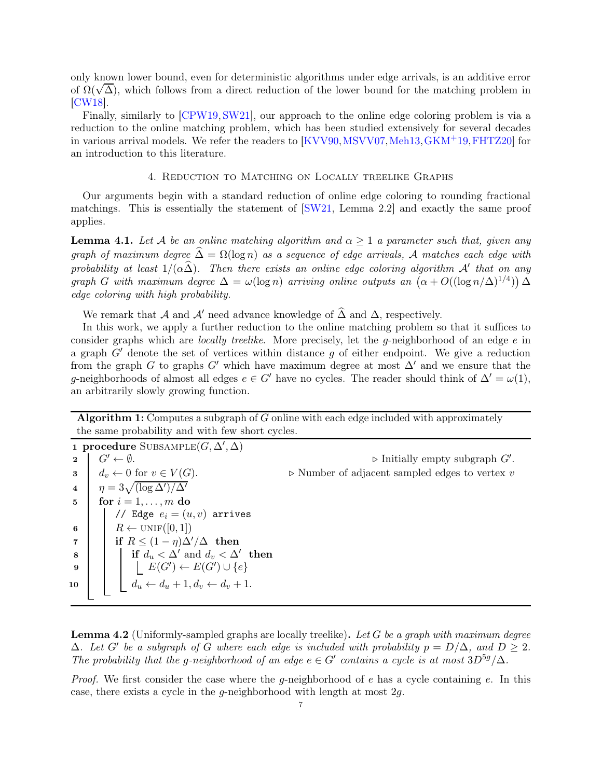only known lower bound, even for deterministic algorithms under edge arrivals, is an additive error of  $\Omega(\sqrt{\Delta})$ , which follows from a direct reduction of the lower bound for the matching problem in [\[CW18\]](#page-15-8).

Finally, similarly to [\[CPW19,](#page-15-4) [SW21\]](#page-16-3), our approach to the online edge coloring problem is via a reduction to the online matching problem, which has been studied extensively for several decades in various arrival models. We refer the readers to [\[KVV90,](#page-16-5) [MSVV07,](#page-16-12) [Meh13,](#page-16-13) [GKM](#page-16-4)<sup>+</sup>19, FHTZ20] for an introduction to this literature.

# 4. Reduction to Matching on Locally treelike Graphs

<span id="page-6-0"></span>Our arguments begin with a standard reduction of online edge coloring to rounding fractional matchings. This is essentially the statement of  $\left[\frac{\text{SW21}}{\text{Sum222}}\right]$  and exactly the same proof applies.

<span id="page-6-5"></span>**Lemma 4.1.** Let A be an online matching algorithm and  $\alpha \geq 1$  a parameter such that, given any *graph of maximum degree*  $\hat{\Delta} = \Omega(\log n)$  *as a sequence of edge arrivals,* A *matches each edge with probability at least*  $1/(\alpha \widehat{\Delta})$ . Then there exists an online edge coloring algorithm A' that on any *graph G* with maximum degree  $\Delta = \omega(\log n)$  arriving online outputs an  $(\alpha + O((\log n/\Delta)^{1/4})) \Delta$ *edge coloring with high probability.*

We remark that A and A' need advance knowledge of  $\widehat{\Delta}$  and  $\Delta$ , respectively.

In this work, we apply a further reduction to the online matching problem so that it suffices to consider graphs which are *locally treelike*. More precisely, let the g-neighborhood of an edge e in a graph  $G'$  denote the set of vertices within distance q of either endpoint. We give a reduction from the graph G to graphs G' which have maximum degree at most  $\Delta'$  and we ensure that the g-neighborhoods of almost all edges  $e \in G'$  have no cycles. The reader should think of  $\Delta' = \omega(1)$ , an arbitrarily slowly growing function.

Algorithm 1: Computes a subgraph of  $G$  online with each edge included with approximately the same probability and with few short cycles.

<span id="page-6-1"></span>1 procedure SUBSAMPLE $(G, \Delta', \Delta)$ 2  $G' \leftarrow \emptyset$ .  $\triangleright$  Initially empty subgraph  $G'$ . 3 d<sub>v</sub> ← 0 for  $v \in V(G)$ .  $\triangleright$  Number of adjacent sampled edges to vertex v  $4 \quad \eta = 3\sqrt{(\log \Delta')/\Delta'}$  $\mathbf{5} \mid \text{for } i = 1, \ldots, m \text{ do}$ // Edge  $e_i = (u, v)$  arrives 6 |  $R \leftarrow \text{UNIF}([0, 1])$ 7 if  $R \leq (1 - \eta) \Delta'/\Delta$  then 8 if  $d_u < \Delta'$  and  $d_v < \Delta'$  then 9  $\Big|$   $\Big|$   $\Big|$   $E(G') \leftarrow E(G') \cup \{e\}$ 10  $\begin{vmatrix} d_u & \& d_u + 1, d_v & \& d_v + 1. \end{vmatrix}$ 

<span id="page-6-4"></span><span id="page-6-3"></span><span id="page-6-2"></span>Lemma 4.2 (Uniformly-sampled graphs are locally treelike). *Let* G *be a graph with maximum degree*  $\Delta$ *. Let*  $G'$  *be a subgraph of*  $G$  *where each edge is included with probability*  $p = D/\Delta$ *, and*  $D \ge 2$ *. The probability that the g-neighborhood of an edge*  $e \in G'$  *contains a cycle is at most*  $3D^{5g}/\Delta$ *.* 

*Proof.* We first consider the case where the g-neighborhood of e has a cycle containing e. In this case, there exists a cycle in the q-neighborhood with length at most  $2q$ .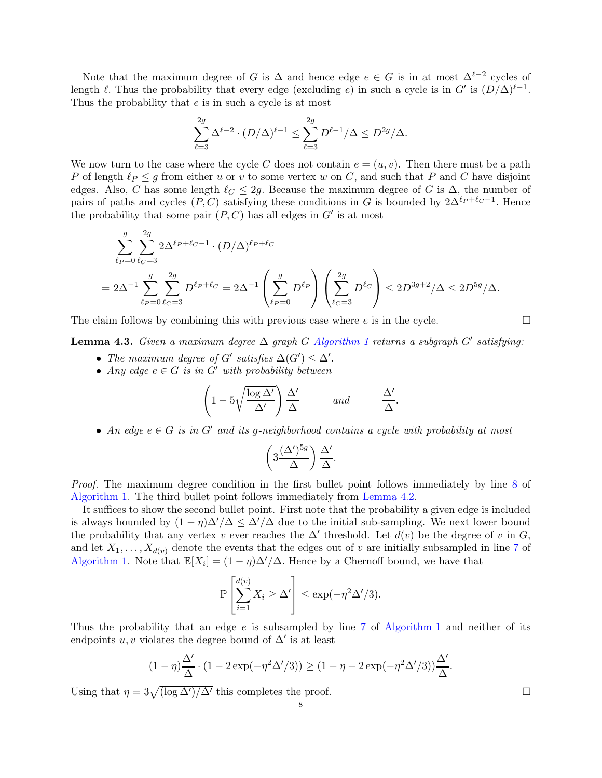Note that the maximum degree of G is  $\Delta$  and hence edge  $e \in G$  is in at most  $\Delta^{\ell-2}$  cycles of length  $\ell$ . Thus the probability that every edge (excluding  $e$ ) in such a cycle is in G' is  $(D/\Delta)^{\ell-1}$ . Thus the probability that e is in such a cycle is at most

$$
\sum_{\ell=3}^{2g} \Delta^{\ell-2} \cdot (D/\Delta)^{\ell-1} \le \sum_{\ell=3}^{2g} D^{\ell-1}/\Delta \le D^{2g}/\Delta.
$$

We now turn to the case where the cycle C does not contain  $e = (u, v)$ . Then there must be a path P of length  $\ell_P \leq g$  from either u or v to some vertex w on C, and such that P and C have disjoint edges. Also, C has some length  $\ell_{\mathcal{C}} \leq 2g$ . Because the maximum degree of G is  $\Delta$ , the number of pairs of paths and cycles  $(P, C)$  satisfying these conditions in G is bounded by  $2\Delta^{\ell_P+\ell_C-1}$ . Hence the probability that some pair  $(P, C)$  has all edges in  $G'$  is at most

$$
\sum_{\ell_P=0}^{g} \sum_{\ell_C=3}^{2g} 2\Delta^{\ell_P+\ell_C-1} \cdot (D/\Delta)^{\ell_P+\ell_C}
$$
  
=  $2\Delta^{-1} \sum_{\ell_P=0}^{g} \sum_{\ell_C=3}^{2g} D^{\ell_P+\ell_C} = 2\Delta^{-1} \left( \sum_{\ell_P=0}^{g} D^{\ell_P} \right) \left( \sum_{\ell_C=3}^{2g} D^{\ell_C} \right) \le 2D^{3g+2}/\Delta \le 2D^{5g}/\Delta.$ 

The claim follows by combining this with previous case where  $e$  is in the cycle.

<span id="page-7-0"></span>Lemma 4.3. *Given a maximum degree* ∆ *graph* G *[Algorithm 1](#page-6-1) returns a subgraph* G′ *satisfying:*

- *The maximum degree of*  $G'$  *satisfies*  $\Delta(G') \leq \Delta'$ .
- *Any edge*  $e \in G$  *is in*  $G'$  *with probability between*

$$
\left(1 - 5\sqrt{\frac{\log \Delta'}{\Delta'}}\right) \frac{\Delta'}{\Delta} \qquad \text{and} \qquad \frac{\Delta'}{\Delta}.
$$

• *An edge* <sup>e</sup> <sup>∈</sup> <sup>G</sup> *is in* <sup>G</sup>′ *and its* <sup>g</sup>*-neighborhood contains a cycle with probability at most*

$$
\left(3\frac{(\Delta')^{5g}}{\Delta}\right)\frac{\Delta'}{\Delta}.
$$

*Proof.* The maximum degree condition in the first bullet point follows immediately by line [8](#page-6-2) of [Algorithm 1.](#page-6-1) The third bullet point follows immediately from [Lemma 4.2.](#page-6-3)

It suffices to show the second bullet point. First note that the probability a given edge is included is always bounded by  $(1 - \eta)\Delta'/\Delta \leq \Delta'/\Delta$  due to the initial sub-sampling. We next lower bound the probability that any vertex v ever reaches the  $\Delta'$  threshold. Let  $d(v)$  be the degree of v in G, and let  $X_1, \ldots, X_{d(v)}$  denote the events that the edges out of v are initially subsampled in line [7](#page-6-4) of [Algorithm 1.](#page-6-1) Note that  $\mathbb{E}[X_i] = (1 - \eta) \Delta'/\Delta$ . Hence by a Chernoff bound, we have that

$$
\mathbb{P}\left[\sum_{i=1}^{d(v)} X_i \ge \Delta'\right] \le \exp(-\eta^2 \Delta'/3).
$$

Thus the probability that an edge  $e$  is subsampled by line [7](#page-6-4) of [Algorithm 1](#page-6-1) and neither of its endpoints  $u, v$  violates the degree bound of  $\Delta'$  is at least

$$
(1-\eta)\frac{\Delta'}{\Delta}\cdot (1-2\exp(-\eta^2\Delta'/3)) \ge (1-\eta-2\exp(-\eta^2\Delta'/3))\frac{\Delta'}{\Delta}.
$$

Using that  $\eta = 3\sqrt{\frac{\log \Delta'}{\Delta'}}$  this completes the proof.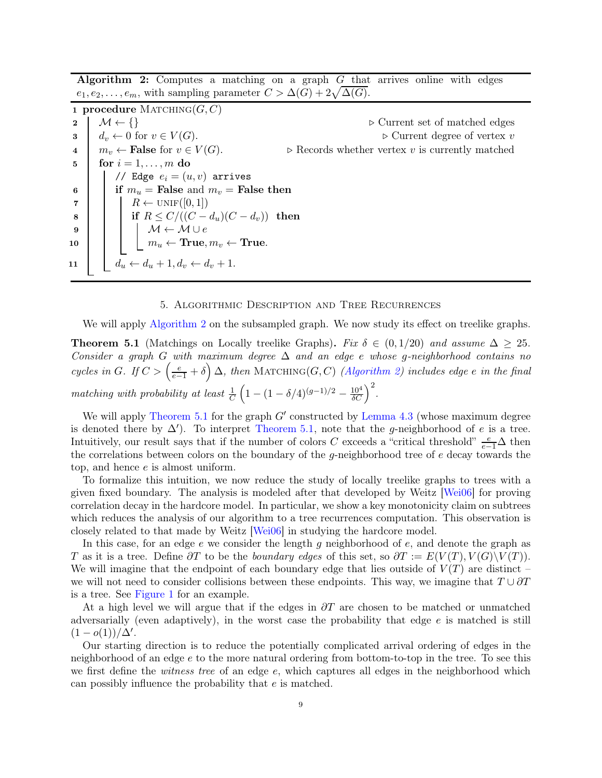Algorithm 2: Computes a matching on a graph G that arrives online with edges  $e_1, e_2, \ldots, e_m$ , with sampling parameter  $C > \Delta(G) + 2\sqrt{\Delta(G)}$ .

<span id="page-8-2"></span>1 procedure  $M$ ATCHING $(G, C)$ 2  $\begin{array}{c} \mathcal{M} \leftarrow \{\} \\ 3 \quad d_v \leftarrow 0 \text{ for } v \in V(G). \end{array}$   $\triangleright$  Current set of matched edges  $\triangleright$  Current degree of vertex v 3  $d_v \leftarrow 0$  for  $v \in V(G)$ .<br>
4  $m_v \leftarrow$  **False** for  $v \in V(G)$ .  $\triangleright$  Records whether vertex v is currently matched 4  $m_v \leftarrow$  False for  $v \in V(G)$ .  $\triangleright$  Records whether vertex v is currently matched  $\mathbf{5} \mid \text{for } i = 1, \ldots, m \text{ do}$ // Edge  $e_i = (u, v)$  arrives 6 if  $m_u$  = False and  $m_v$  = False then 7  $\mid \cdot \mid R \leftarrow \text{UNIF}([0,1])$  $\begin{array}{|c|c|c|c|}\n\hline \bf 8 & & \Hline & \bar{\bf 1} & \bar{\bf 1} & R \leq C/((C-d_u)(C-d_v)) & \textbf{then} \end{array}$ 9  $M \leftarrow M \cup e$  $\begin{array}{|c|c|c|}\hline \text{10} & \text{ } & \text{ } \end{array} \begin{array}{|c|c|c|c|}\hline \text{11} & \text{m}_u \leftarrow \text{True}, m_v \leftarrow \text{True}. \end{array}$ 11  $d_u \leftarrow d_u + 1, d_v \leftarrow d_v + 1.$ 

#### <span id="page-8-4"></span>5. Algorithmic Description and Tree Recurrences

<span id="page-8-3"></span><span id="page-8-0"></span>We will apply [Algorithm 2](#page-8-2) on the subsampled graph. We now study its effect on treelike graphs.

**Theorem 5.1** (Matchings on Locally treelike Graphs). *Fix*  $\delta \in (0, 1/20)$  *and assume*  $\Delta \geq 25$ *. Consider a graph* G *with maximum degree* ∆ *and an edge* e *whose* g*-neighborhood contains no*  $cycles in G.$  If  $C > (\frac{e}{e-1} + \delta) \Delta$ , then MATCHING(G, C) *[\(Algorithm 2\)](#page-8-2) includes edge e in the final matching with probability at least*  $\frac{1}{C}$  $\left(1 - (1 - \delta/4)^{(g-1)/2} - \frac{10^4}{\delta C}\right)^2$ .

We will apply [Theorem 5.1](#page-8-3) for the graph  $G'$  constructed by [Lemma 4.3](#page-7-0) (whose maximum degree is denoted there by  $\Delta'$ ). To interpret [Theorem 5.1,](#page-8-3) note that the g-neighborhood of e is a tree. Intuitively, our result says that if the number of colors C exceeds a "critical threshold"  $\frac{e}{e-1}\Delta$  then the correlations between colors on the boundary of the  $q$ -neighborhood tree of  $e$  decay towards the top, and hence e is almost uniform.

To formalize this intuition, we now reduce the study of locally treelike graphs to trees with a given fixed boundary. The analysis is modeled after that developed by Weitz [\[Wei06\]](#page-16-6) for proving correlation decay in the hardcore model. In particular, we show a key monotonicity claim on subtrees which reduces the analysis of our algorithm to a tree recurrences computation. This observation is closely related to that made by Weitz [\[Wei06\]](#page-16-6) in studying the hardcore model.

In this case, for an edge  $e$  we consider the length g neighborhood of  $e$ , and denote the graph as T as it is a tree. Define  $\partial T$  to be the *boundary edges* of this set, so  $\partial T := E(V(T), V(G) \setminus V(T)).$ We will imagine that the endpoint of each boundary edge that lies outside of  $V(T)$  are distinct – we will not need to consider collisions between these endpoints. This way, we imagine that  $T \cup \partial T$ is a tree. See [Figure 1](#page-4-0) for an example.

At a high level we will argue that if the edges in  $\partial T$  are chosen to be matched or unmatched adversarially (even adaptively), in the worst case the probability that edge e is matched is still  $(1 - o(1))/\Delta'$ .

<span id="page-8-1"></span>Our starting direction is to reduce the potentially complicated arrival ordering of edges in the neighborhood of an edge e to the more natural ordering from bottom-to-top in the tree. To see this we first define the *witness tree* of an edge e, which captures all edges in the neighborhood which can possibly influence the probability that e is matched.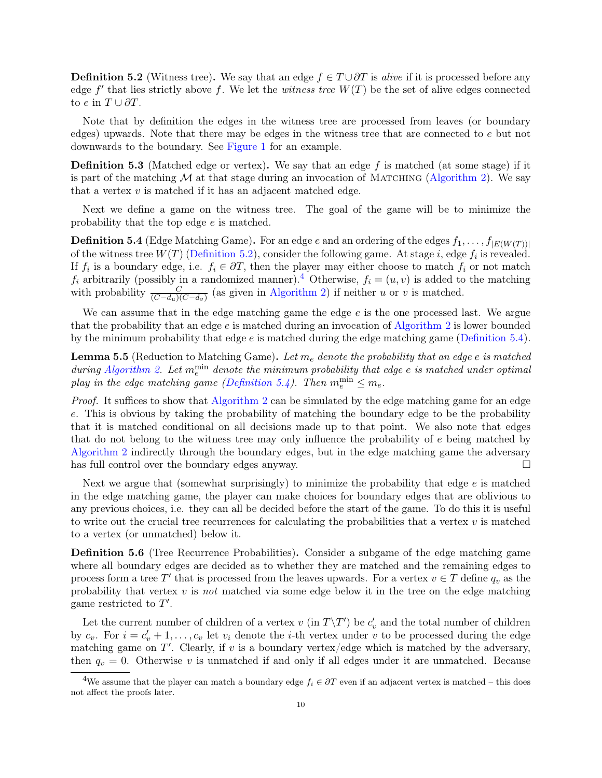**Definition 5.2** (Witness tree). We say that an edge  $f \in T \cup \partial T$  is *alive* if it is processed before any edge  $f'$  that lies strictly above  $f$ . We let the *witness tree*  $W(T)$  be the set of alive edges connected to  $e$  in  $T \cup \partial T$ .

Note that by definition the edges in the witness tree are processed from leaves (or boundary edges) upwards. Note that there may be edges in the witness tree that are connected to e but not downwards to the boundary. See [Figure 1](#page-4-0) for an example.

**Definition 5.3** (Matched edge or vertex). We say that an edge f is matched (at some stage) if it is part of the matching  $\mathcal M$  at that stage during an invocation of MATCHING [\(Algorithm 2\)](#page-8-2). We say that a vertex  $v$  is matched if it has an adjacent matched edge.

<span id="page-9-1"></span>Next we define a game on the witness tree. The goal of the game will be to minimize the probability that the top edge e is matched.

**Definition 5.4** (Edge Matching Game). For an edge e and an ordering of the edges  $f_1, \ldots, f_{|E(W(T))|}$ of the witness tree  $W(T)$  [\(Definition 5.2\)](#page-8-1), consider the following game. At stage i, edge  $f_i$  is revealed. If  $f_i$  is a boundary edge, i.e.  $f_i \in \partial T$ , then the player may either choose to match  $f_i$  or not match  $f_i$  arbitrarily (possibly in a randomized manner).<sup>[4](#page-9-0)</sup> Otherwise,  $f_i = (u, v)$  is added to the matching with probability  $\frac{C}{(C-d_u)(C-d_v)}$  (as given in [Algorithm 2\)](#page-8-2) if neither u or v is matched.

We can assume that in the edge matching game the edge  $e$  is the one processed last. We argue that the probability that an edge  $e$  is matched during an invocation of [Algorithm 2](#page-8-2) is lower bounded by the minimum probability that edge e is matched during the edge matching game [\(Definition 5.4\)](#page-9-1).

Lemma 5.5 (Reduction to Matching Game). *Let* m<sup>e</sup> *denote the probability that an edge* e *is matched*  $during Algorithm 2. Let m<sub>e</sub><sup>min</sup> denote the minimum probability that edge  $e$  is matched under optimal.$  $during Algorithm 2. Let m<sub>e</sub><sup>min</sup> denote the minimum probability that edge  $e$  is matched under optimal.$  $during Algorithm 2. Let m<sub>e</sub><sup>min</sup> denote the minimum probability that edge  $e$  is matched under optimal.$ *play in the edge matching game [\(Definition 5.4\)](#page-9-1). Then*  $m_e^{\text{min}} \leq m_e$ *.* 

*Proof.* It suffices to show that [Algorithm 2](#page-8-2) can be simulated by the edge matching game for an edge e. This is obvious by taking the probability of matching the boundary edge to be the probability that it is matched conditional on all decisions made up to that point. We also note that edges that do not belong to the witness tree may only influence the probability of e being matched by [Algorithm 2](#page-8-2) indirectly through the boundary edges, but in the edge matching game the adversary has full control over the boundary edges anyway.

Next we argue that (somewhat surprisingly) to minimize the probability that edge  $e$  is matched in the edge matching game, the player can make choices for boundary edges that are oblivious to any previous choices, i.e. they can all be decided before the start of the game. To do this it is useful to write out the crucial tree recurrences for calculating the probabilities that a vertex  $v$  is matched to a vertex (or unmatched) below it.

<span id="page-9-2"></span>Definition 5.6 (Tree Recurrence Probabilities). Consider a subgame of the edge matching game where all boundary edges are decided as to whether they are matched and the remaining edges to process form a tree T' that is processed from the leaves upwards. For a vertex  $v \in T$  define  $q_v$  as the probability that vertex  $v$  is *not* matched via some edge below it in the tree on the edge matching game restricted to  $T'$ .

Let the current number of children of a vertex v (in  $T\Y T'$ ) be  $c'_v$  and the total number of children by  $c_v$ . For  $i = c'_v + 1, \ldots, c_v$  let  $v_i$  denote the *i*-th vertex under v to be processed during the edge matching game on  $T'$ . Clearly, if v is a boundary vertex/edge which is matched by the adversary, then  $q_v = 0$ . Otherwise v is unmatched if and only if all edges under it are unmatched. Because

<span id="page-9-0"></span><sup>&</sup>lt;sup>4</sup>We assume that the player can match a boundary edge  $f_i \in \partial T$  even if an adjacent vertex is matched – this does not affect the proofs later.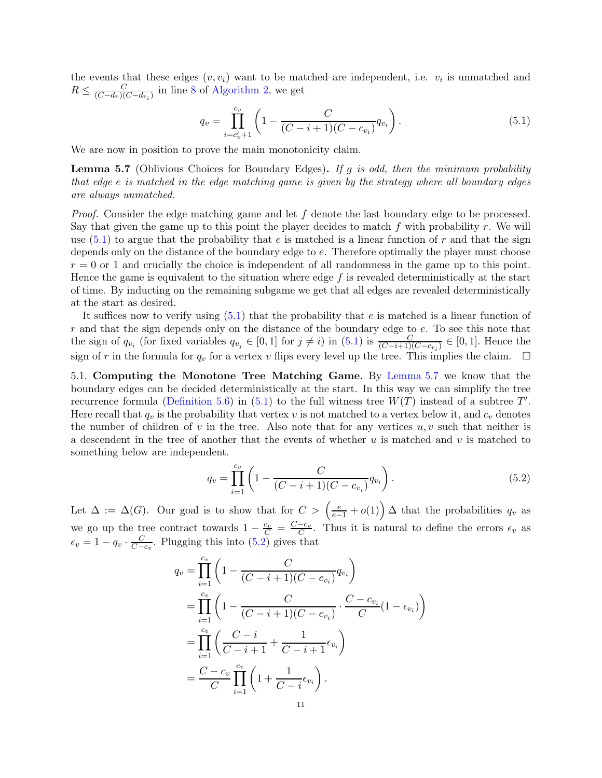the events that these edges  $(v, v_i)$  want to be matched are independent, i.e.  $v_i$  is unmatched and  $R \leq \frac{C}{(C-d_v)(d)}$  $\frac{C}{(C-d_v)(C-d_{v_i})}$  in line [8](#page-8-4) of [Algorithm 2,](#page-8-2) we get

<span id="page-10-1"></span>
$$
q_v = \prod_{i=c'_v+1}^{c_v} \left(1 - \frac{C}{(C-i+1)(C-c_{v_i})} q_{v_i}\right).
$$
\n(5.1)

<span id="page-10-2"></span>We are now in position to prove the main monotonicity claim.

Lemma 5.7 (Oblivious Choices for Boundary Edges). *If* g *is odd, then the minimum probability that edge* e *is matched in the edge matching game is given by the strategy where all boundary edges are always unmatched.*

*Proof.* Consider the edge matching game and let f denote the last boundary edge to be processed. Say that given the game up to this point the player decides to match  $f$  with probability  $r$ . We will use  $(5.1)$  to argue that the probability that e is matched is a linear function of r and that the sign depends only on the distance of the boundary edge to e. Therefore optimally the player must choose  $r = 0$  or 1 and crucially the choice is independent of all randomness in the game up to this point. Hence the game is equivalent to the situation where edge  $f$  is revealed deterministically at the start of time. By inducting on the remaining subgame we get that all edges are revealed deterministically at the start as desired.

It suffices now to verify using  $(5.1)$  that the probability that e is matched is a linear function of r and that the sign depends only on the distance of the boundary edge to e. To see this note that the sign of  $q_{v_i}$  (for fixed variables  $q_{v_j} \in [0,1]$  for  $j \neq i$ ) in  $(5.1)$  is  $\frac{C}{(C-i+1)(C-c_{v_i})} \in [0,1]$ . Hence the sign of r in the formula for  $q_v$  for a vertex v flips every level up the tree. This implies the claim.  $\Box$ 

<span id="page-10-0"></span>5.1. Computing the Monotone Tree Matching Game. By [Lemma 5.7](#page-10-2) we know that the boundary edges can be decided deterministically at the start. In this way we can simplify the tree recurrence formula [\(Definition 5.6\)](#page-9-2) in [\(5.1\)](#page-10-1) to the full witness tree  $W(T)$  instead of a subtree  $T'$ . Here recall that  $q_v$  is the probability that vertex v is not matched to a vertex below it, and  $c_v$  denotes the number of children of v in the tree. Also note that for any vertices  $u, v$  such that neither is a descendent in the tree of another that the events of whether u is matched and v is matched to something below are independent.

<span id="page-10-3"></span>
$$
q_v = \prod_{i=1}^{c_v} \left( 1 - \frac{C}{(C - i + 1)(C - c_{v_i})} q_{v_i} \right).
$$
 (5.2)

Let  $\Delta := \Delta(G)$ . Our goal is to show that for  $C > \left(\frac{e}{e-1} + o(1)\right) \Delta$  that the probabilities  $q_v$  as we go up the tree contract towards  $1 - \frac{c_v}{C} = \frac{C-c_v}{C}$ . Thus it is natural to define the errors  $\epsilon_v$  as  $\epsilon_v = 1 - q_v \cdot \frac{C}{C}$  $\frac{C}{C-c_v}$ . Plugging this into [\(5.2\)](#page-10-3) gives that

$$
q_v = \prod_{i=1}^{c_v} \left( 1 - \frac{C}{(C - i + 1)(C - c_{v_i})} q_{v_i} \right)
$$
  
= 
$$
\prod_{i=1}^{c_v} \left( 1 - \frac{C}{(C - i + 1)(C - c_{v_i})} \cdot \frac{C - c_{v_i}}{C} (1 - \epsilon_{v_i}) \right)
$$
  
= 
$$
\prod_{i=1}^{c_v} \left( \frac{C - i}{C - i + 1} + \frac{1}{C - i + 1} \epsilon_{v_i} \right)
$$
  
= 
$$
\frac{C - c_v}{C} \prod_{i=1}^{c_v} \left( 1 + \frac{1}{C - i} \epsilon_{v_i} \right).
$$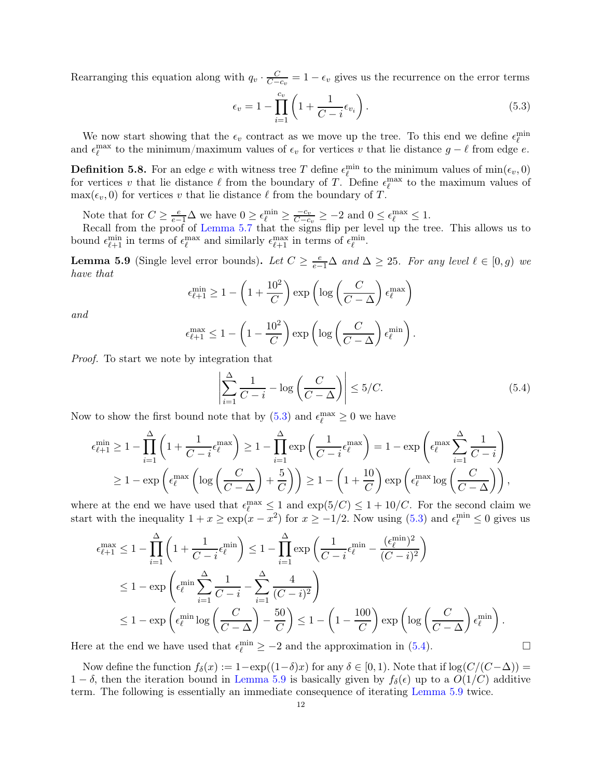Rearranging this equation along with  $q_v \cdot \frac{C}{C}$  $\frac{C}{C-c_v} = 1 - \epsilon_v$  gives us the recurrence on the error terms

<span id="page-11-0"></span>
$$
\epsilon_v = 1 - \prod_{i=1}^{c_v} \left( 1 + \frac{1}{C - i} \epsilon_{v_i} \right). \tag{5.3}
$$

We now start showing that the  $\epsilon_v$  contract as we move up the tree. To this end we define  $\epsilon_{\ell}^{\min}$ and  $\epsilon_{\ell}^{\max}$  to the minimum/maximum values of  $\epsilon_v$  for vertices v that lie distance  $g - \ell$  from edge e.

**Definition 5.8.** For an edge e with witness tree T define  $\epsilon_{\ell}^{\min}$  to the minimum values of  $\min(\epsilon_v, 0)$ for vertices v that lie distance  $\ell$  from the boundary of T. Define  $\epsilon_{\ell}^{\max}$  to the maximum values of  $\max(\epsilon_v, 0)$  for vertices v that lie distance  $\ell$  from the boundary of T.

Note that for  $C \geq \frac{e}{e-1} \Delta$  we have  $0 \geq \epsilon_{\ell}^{\min} \geq \frac{-c_v}{C-c}$  $\frac{-c_v}{C-c_v} \ge -2$  and  $0 \le \epsilon_{\ell}^{\max} \le 1$ .

<span id="page-11-2"></span>Recall from the proof of [Lemma 5.7](#page-10-2) that the signs flip per level up the tree. This allows us to bound  $\epsilon_{\ell+1}^{\min}$  in terms of  $\epsilon_{\ell}^{\max}$  and similarly  $\epsilon_{\ell+1}^{\max}$  in terms of  $\epsilon_{\ell}^{\min}$ .

**Lemma 5.9** (Single level error bounds). Let  $C \geq \frac{e}{e-1}\Delta$  and  $\Delta \geq 25$ . For any level  $\ell \in [0, g)$  we *have that*

$$
\epsilon_{\ell+1}^{\min} \ge 1 - \left(1 + \frac{10^2}{C}\right) \exp\left(\log\left(\frac{C}{C - \Delta}\right) \epsilon_{\ell}^{\max}\right)
$$

*and*

$$
\epsilon_{\ell+1}^{\max} \le 1 - \left(1 - \frac{10^2}{C}\right) \exp\left(\log\left(\frac{C}{C - \Delta}\right) \epsilon_{\ell}^{\min}\right).
$$

*Proof.* To start we note by integration that

<span id="page-11-1"></span>
$$
\left| \sum_{i=1}^{\Delta} \frac{1}{C - i} - \log \left( \frac{C}{C - \Delta} \right) \right| \le 5/C. \tag{5.4}
$$

Now to show the first bound note that by [\(5.3\)](#page-11-0) and  $\epsilon_{\ell}^{\max} \ge 0$  we have

$$
\epsilon_{\ell+1}^{\min} \ge 1 - \prod_{i=1}^{\Delta} \left( 1 + \frac{1}{C - i} \epsilon_{\ell}^{\max} \right) \ge 1 - \prod_{i=1}^{\Delta} \exp\left( \frac{1}{C - i} \epsilon_{\ell}^{\max} \right) = 1 - \exp\left( \epsilon_{\ell}^{\max} \sum_{i=1}^{\Delta} \frac{1}{C - i} \right)
$$
  
 
$$
\ge 1 - \exp\left( \epsilon_{\ell}^{\max} \left( \log\left( \frac{C}{C - \Delta} \right) + \frac{5}{C} \right) \right) \ge 1 - \left( 1 + \frac{10}{C} \right) \exp\left( \epsilon_{\ell}^{\max} \log\left( \frac{C}{C - \Delta} \right) \right),
$$

where at the end we have used that  $\epsilon_{\ell}^{\max} \leq 1$  and  $\exp(5/C) \leq 1 + 10/C$ . For the second claim we start with the inequality  $1 + x \ge \exp(x - x^2)$  for  $x \ge -1/2$ . Now using [\(5.3\)](#page-11-0) and  $\epsilon_{\ell}^{\min} \le 0$  gives us

$$
\epsilon_{\ell+1}^{\max} \le 1 - \prod_{i=1}^{\Delta} \left( 1 + \frac{1}{C - i} \epsilon_{\ell}^{\min} \right) \le 1 - \prod_{i=1}^{\Delta} \exp \left( \frac{1}{C - i} \epsilon_{\ell}^{\min} - \frac{(\epsilon_{\ell}^{\min})^2}{(C - i)^2} \right)
$$
  

$$
\le 1 - \exp \left( \epsilon_{\ell}^{\min} \sum_{i=1}^{\Delta} \frac{1}{C - i} - \sum_{i=1}^{\Delta} \frac{4}{(C - i)^2} \right)
$$
  

$$
\le 1 - \exp \left( \epsilon_{\ell}^{\min} \log \left( \frac{C}{C - \Delta} \right) - \frac{50}{C} \right) \le 1 - \left( 1 - \frac{100}{C} \right) \exp \left( \log \left( \frac{C}{C - \Delta} \right) \epsilon_{\ell}^{\min} \right).
$$

Here at the end we have used that  $\epsilon_{\ell}^{\min} \ge -2$  and the approximation in [\(5.4\)](#page-11-1).

<span id="page-11-3"></span>Now define the function  $f_{\delta}(x) := 1-\exp((1-\delta)x)$  for any  $\delta \in [0,1)$ . Note that if  $\log(C/(C-\Delta)) =$  $1 - \delta$ , then the iteration bound in [Lemma 5.9](#page-11-2) is basically given by  $f_{\delta}(\epsilon)$  up to a  $O(1/C)$  additive term. The following is essentially an immediate consequence of iterating [Lemma 5.9](#page-11-2) twice.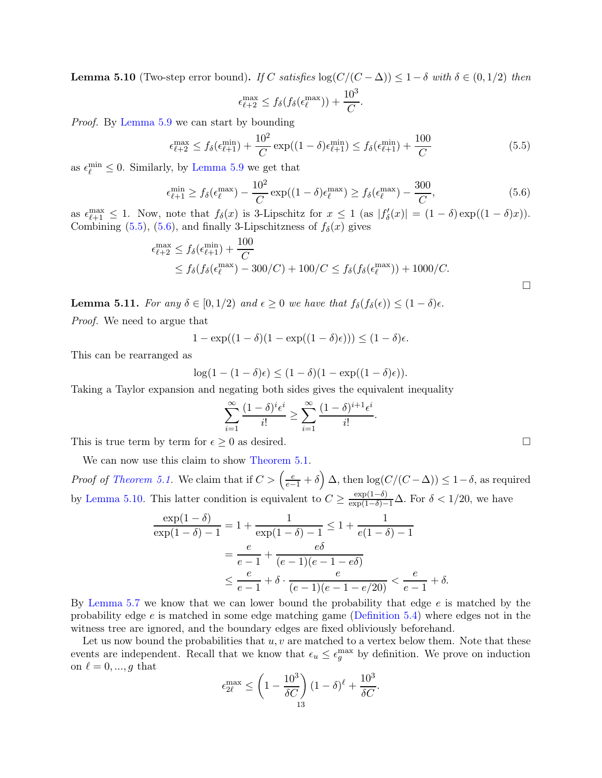**Lemma 5.10** (Two-step error bound). *If* C *satisfies*  $\log(C/(C - \Delta)) \leq 1 - \delta$  *with*  $\delta \in (0, 1/2)$  *then*  $\epsilon_{\ell+2}^{\max} \leq f_{\delta}(f_{\delta}(\epsilon_{\ell}^{\max})) + \frac{10^3}{C}.$ 

*Proof.* By [Lemma 5.9](#page-11-2) we can start by bounding

$$
\epsilon_{\ell+2}^{\max} \le f_{\delta}(\epsilon_{\ell+1}^{\min}) + \frac{10^2}{C} \exp((1-\delta)\epsilon_{\ell+1}^{\min}) \le f_{\delta}(\epsilon_{\ell+1}^{\min}) + \frac{100}{C}
$$
(5.5)

as  $\epsilon_{\ell}^{\min} \leq 0$ . Similarly, by [Lemma 5.9](#page-11-2) we get that

$$
\epsilon_{\ell+1}^{\min} \ge f_{\delta}(\epsilon_{\ell}^{\max}) - \frac{10^2}{C} \exp((1-\delta)\epsilon_{\ell}^{\max}) \ge f_{\delta}(\epsilon_{\ell}^{\max}) - \frac{300}{C},\tag{5.6}
$$

as  $\epsilon_{\ell+1}^{\max} \leq 1$ . Now, note that  $f_{\delta}(x)$  is 3-Lipschitz for  $x \leq 1$  (as  $|f'_{\delta}(x)| = (1 - \delta) \exp((1 - \delta)x)$ ). Combining  $(5.5)$ ,  $(5.6)$ , and finally 3-Lipschitzness of  $f_{\delta}(x)$  gives

$$
\epsilon_{\ell+2}^{\max} \le f_{\delta}(\epsilon_{\ell+1}^{\min}) + \frac{100}{C}
$$
  
\$\le f\_{\delta}(f\_{\delta}(\epsilon\_{\ell}^{\max}) - 300/C) + 100/C \le f\_{\delta}(f\_{\delta}(\epsilon\_{\ell}^{\max})) + 1000/C\$. \$\square\$

<span id="page-12-2"></span>**Lemma 5.11.** *For any*  $\delta \in [0, 1/2)$  *and*  $\epsilon \geq 0$  *we have that*  $f_{\delta}(f_{\delta}(\epsilon)) \leq (1 - \delta)\epsilon$ .

*Proof.* We need to argue that

$$
1 - \exp((1 - \delta)(1 - \exp((1 - \delta)\epsilon))) \le (1 - \delta)\epsilon.
$$

This can be rearranged as

$$
\log(1-(1-\delta)\epsilon) \le (1-\delta)(1-\exp((1-\delta)\epsilon)).
$$

Taking a Taylor expansion and negating both sides gives the equivalent inequality

$$
\sum_{i=1}^{\infty} \frac{(1-\delta)^i \epsilon^i}{i!} \ge \sum_{i=1}^{\infty} \frac{(1-\delta)^{i+1} \epsilon^i}{i!}.
$$

This is true term by term for  $\epsilon \geq 0$  as desired.

We can now use this claim to show [Theorem 5.1.](#page-8-3)

*Proof of [Theorem 5.1.](#page-8-3)* We claim that if  $C > (\frac{e}{e-1} + \delta) \Delta$ , then  $\log(C/(C - \Delta)) \leq 1 - \delta$ , as required by [Lemma 5.10.](#page-11-3) This latter condition is equivalent to  $C \geq \frac{\exp(1-\delta)}{\exp(1-\delta)-1}\Delta$ . For  $\delta < 1/20$ , we have

$$
\frac{\exp(1-\delta)}{\exp(1-\delta)-1} = 1 + \frac{1}{\exp(1-\delta)-1} \le 1 + \frac{1}{e(1-\delta)-1}
$$

$$
= \frac{e}{e-1} + \frac{e\delta}{(e-1)(e-1-e\delta)}
$$

$$
\le \frac{e}{e-1} + \delta \cdot \frac{e}{(e-1)(e-1-e/20)} < \frac{e}{e-1} + \delta.
$$

By [Lemma 5.7](#page-10-2) we know that we can lower bound the probability that edge e is matched by the probability edge e is matched in some edge matching game [\(Definition 5.4\)](#page-9-1) where edges not in the witness tree are ignored, and the boundary edges are fixed obliviously beforehand.

Let us now bound the probabilities that  $u, v$  are matched to a vertex below them. Note that these events are independent. Recall that we know that  $\epsilon_u \leq \epsilon_g^{\text{max}}$  by definition. We prove on induction on  $\ell = 0, ..., g$  that

$$
\epsilon_{2\ell}^{\max} \le \left(1 - \frac{10^3}{\delta C}\right)(1 - \delta)^{\ell} + \frac{10^3}{\delta C}.
$$

<span id="page-12-1"></span><span id="page-12-0"></span>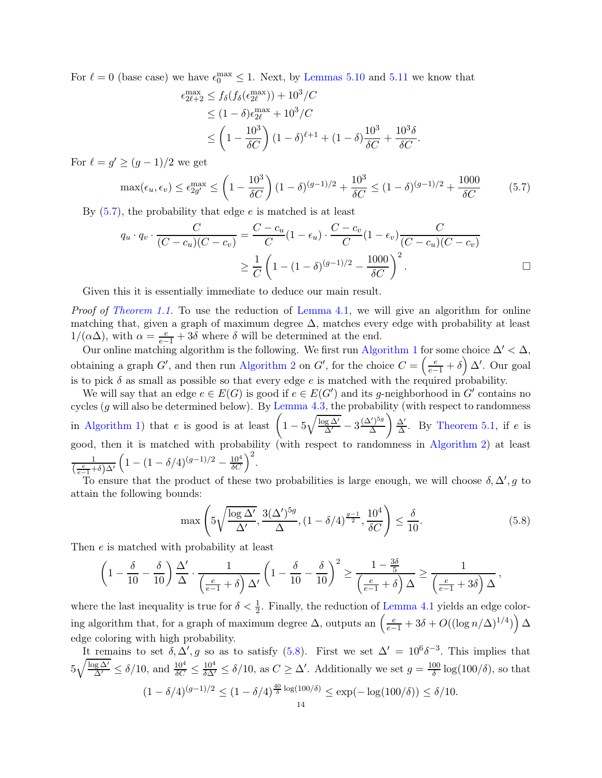For  $\ell = 0$  (base case) we have  $\epsilon_0^{\text{max}} \leq 1$ . Next, by [Lemmas 5.10](#page-11-3) and [5.11](#page-12-2) we know that

<span id="page-13-0"></span>
$$
\epsilon_{2\ell+2}^{\max} \le f_{\delta}(f_{\delta}(\epsilon_{2\ell}^{\max})) + 10^3/C
$$
  
\n
$$
\le (1 - \delta)\epsilon_{2\ell}^{\max} + 10^3/C
$$
  
\n
$$
\le \left(1 - \frac{10^3}{\delta C}\right)(1 - \delta)^{\ell+1} + (1 - \delta)\frac{10^3}{\delta C} + \frac{10^3\delta}{\delta C}.
$$

For  $\ell = g' \ge (g-1)/2$  we get

$$
\max(\epsilon_u, \epsilon_v) \le \epsilon_{2g'}^{\max} \le \left(1 - \frac{10^3}{\delta C}\right)(1 - \delta)^{(g-1)/2} + \frac{10^3}{\delta C} \le (1 - \delta)^{(g-1)/2} + \frac{1000}{\delta C} \tag{5.7}
$$

By  $(5.7)$ , the probability that edge e is matched is at least

$$
q_u \cdot q_v \cdot \frac{C}{(C - c_u)(C - c_v)} = \frac{C - c_u}{C} (1 - \epsilon_u) \cdot \frac{C - c_v}{C} (1 - \epsilon_v) \frac{C}{(C - c_u)(C - c_v)}
$$

$$
\geq \frac{1}{C} \left( 1 - (1 - \delta)^{(g - 1)/2} - \frac{1000}{\delta C} \right)^2.
$$

Given this it is essentially immediate to deduce our main result.

*Proof of [Theorem 1.1.](#page-1-0)* To use the reduction of [Lemma 4.1,](#page-6-5) we will give an algorithm for online matching that, given a graph of maximum degree  $\Delta$ , matches every edge with probability at least  $1/(\alpha\Delta)$ , with  $\alpha = \frac{e}{e-1} + 3\delta$  where  $\delta$  will be determined at the end.

Our online matching algorithm is the following. We first run [Algorithm 1](#page-6-1) for some choice  $\Delta' < \Delta$ , obtaining a graph G', and then run [Algorithm 2](#page-8-2) on G', for the choice  $C = \left(\frac{e}{e-1} + \delta\right) \Delta'$ . Our goal is to pick  $\delta$  as small as possible so that every edge  $e$  is matched with the required probability.

We will say that an edge  $e \in E(G)$  is good if  $e \in E(G')$  and its g-neighborhood in G' contains no cycles  $(g \text{ will also be determined below})$ . By [Lemma 4.3,](#page-7-0) the probability (with respect to randomness in [Algorithm 1\)](#page-6-1) that e is good is at least  $\left(1 - 5\sqrt{\frac{\log \Delta'}{\Delta'}} - 3\frac{(\Delta')^{5g}}{\Delta}\right)$ ∆ ∆′  $\frac{\Delta'}{\Delta}$ . By [Theorem 5.1,](#page-8-3) if e is good, then it is matched with probability (with respect to randomness in [Algorithm 2\)](#page-8-2) at least 1  $\left(\frac{e}{e-1}+\delta\right)\Delta'$  $\left(1 - (1 - \delta/4)^{(g-1)/2} - \frac{10^4}{\delta C}\right)^2$ .

To ensure that the product of these two probabilities is large enough, we will choose  $\delta, \Delta', g$  to attain the following bounds:

<span id="page-13-1"></span>
$$
\max\left(5\sqrt{\frac{\log\Delta'}{\Delta'}}, \frac{3(\Delta')^{5g}}{\Delta}, (1-\delta/4)^{\frac{g-1}{2}}, \frac{10^4}{\delta C}\right) \le \frac{\delta}{10}.\tag{5.8}
$$

,

Then e is matched with probability at least

$$
\left(1-\frac{\delta}{10}-\frac{\delta}{10}\right)\frac{\Delta'}{\Delta}\cdot\frac{1}{\left(\frac{e}{e-1}+\delta\right)\Delta'}\left(1-\frac{\delta}{10}-\frac{\delta}{10}\right)^2\geq \frac{1-\frac{3\delta}{5}}{\left(\frac{e}{e-1}+\delta\right)\Delta}\geq \frac{1}{\left(\frac{e}{e-1}+3\delta\right)\Delta}
$$

where the last inequality is true for  $\delta < \frac{1}{2}$ . Finally, the reduction of [Lemma 4.1](#page-6-5) yields an edge coloring algorithm that, for a graph of maximum degree  $\Delta$ , outputs an  $\left(\frac{e}{e-1} + 3\delta + O((\log n/\Delta)^{1/4})\right) \Delta$ edge coloring with high probability.

It remains to set  $\delta, \Delta', g$  so as to satisfy [\(5.8\)](#page-13-1). First we set  $\Delta' = 10^6 \delta^{-3}$ . This implies that  $5\sqrt{\frac{\log \Delta'}{\Delta'}} \le \delta/10$ , and  $\frac{10^4}{\delta C} \le \frac{10^4}{\delta \Delta'} \le \delta/10$ , as  $C \ge \Delta'$ . Additionally we set  $g = \frac{100}{\delta}$  $\frac{00}{\delta}$  log(100/ $\delta$ ), so that  $(1 - \delta/4)^{(g-1)/2} \le (1 - \delta/4)^{\frac{40}{\delta} \log(100/\delta)} \le \exp(-\log(100/\delta)) \le \delta/10.$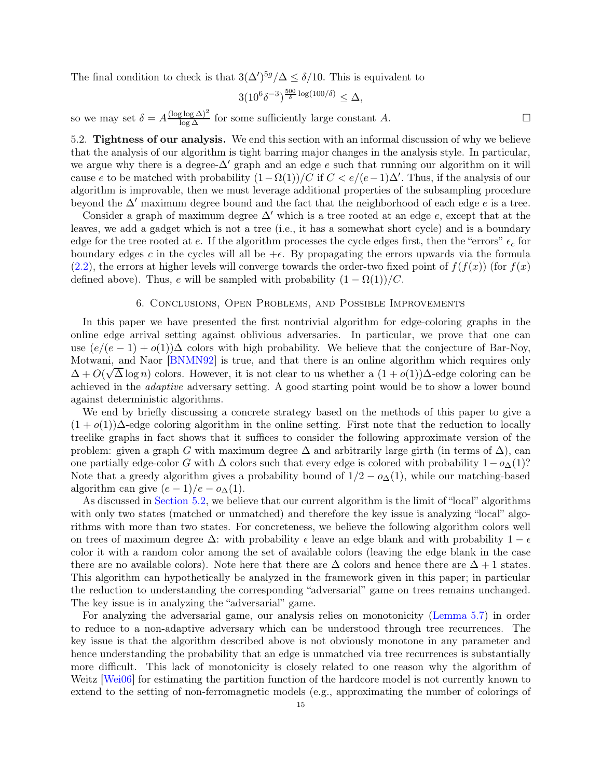The final condition to check is that  $3(\Delta')^{5g}/\Delta \leq \delta/10$ . This is equivalent to

$$
3(10^6\delta^{-3})^{\frac{500}{\delta}\log(100/\delta)} \leq \Delta,
$$

so we may set  $\delta = A \frac{(\log \log \Delta)^2}{\log \Delta}$  for some sufficiently large constant A.

<span id="page-14-1"></span>5.2. Tightness of our analysis. We end this section with an informal discussion of why we believe that the analysis of our algorithm is tight barring major changes in the analysis style. In particular, we argue why there is a degree- $\Delta'$  graph and an edge e such that running our algorithm on it will cause e to be matched with probability  $(1 - \Omega(1))/C$  if  $C < e/(e-1)\Delta'$ . Thus, if the analysis of our algorithm is improvable, then we must leverage additional properties of the subsampling procedure beyond the  $\Delta'$  maximum degree bound and the fact that the neighborhood of each edge e is a tree.

Consider a graph of maximum degree  $\Delta'$  which is a tree rooted at an edge e, except that at the leaves, we add a gadget which is not a tree (i.e., it has a somewhat short cycle) and is a boundary edge for the tree rooted at e. If the algorithm processes the cycle edges first, then the "errors"  $\epsilon_c$  for boundary edges c in the cycles will all be  $+\epsilon$ . By propagating the errors upwards via the formula  $(2.2)$ , the errors at higher levels will converge towards the order-two fixed point of  $f(f(x))$  (for  $f(x)$ ) defined above). Thus, e will be sampled with probability  $(1 - \Omega(1))/C$ .

#### 6. Conclusions, Open Problems, and Possible Improvements

<span id="page-14-0"></span>In this paper we have presented the first nontrivial algorithm for edge-coloring graphs in the online edge arrival setting against oblivious adversaries. In particular, we prove that one can use  $(e/(e-1) + o(1))\Delta$  colors with high probability. We believe that the conjecture of Bar-Noy, Motwani, and Naor [\[BNMN92\]](#page-15-0) is true, and that there is an online algorithm which requires only  $\Delta + O(\sqrt{\Delta}\log n)$  colors. However, it is not clear to us whether a  $(1+o(1))\Delta$ -edge coloring can be achieved in the *adaptive* adversary setting. A good starting point would be to show a lower bound against deterministic algorithms.

We end by briefly discussing a concrete strategy based on the methods of this paper to give a  $(1 + o(1))\Delta$ -edge coloring algorithm in the online setting. First note that the reduction to locally treelike graphs in fact shows that it suffices to consider the following approximate version of the problem: given a graph G with maximum degree  $\Delta$  and arbitrarily large girth (in terms of  $\Delta$ ), can one partially edge-color G with  $\Delta$  colors such that every edge is colored with probability  $1-\sigma_{\Delta}(1)$ ? Note that a greedy algorithm gives a probability bound of  $1/2 - o_{\Delta}(1)$ , while our matching-based algorithm can give  $(e-1)/e - o_{\Delta}(1)$ .

As discussed in [Section 5.2,](#page-14-1) we believe that our current algorithm is the limit of "local" algorithms with only two states (matched or unmatched) and therefore the key issue is analyzing "local" algorithms with more than two states. For concreteness, we believe the following algorithm colors well on trees of maximum degree  $\Delta$ : with probability  $\epsilon$  leave an edge blank and with probability  $1 - \epsilon$ color it with a random color among the set of available colors (leaving the edge blank in the case there are no available colors). Note here that there are  $\Delta$  colors and hence there are  $\Delta + 1$  states. This algorithm can hypothetically be analyzed in the framework given in this paper; in particular the reduction to understanding the corresponding "adversarial" game on trees remains unchanged. The key issue is in analyzing the "adversarial" game.

For analyzing the adversarial game, our analysis relies on monotonicity [\(Lemma 5.7\)](#page-10-2) in order to reduce to a non-adaptive adversary which can be understood through tree recurrences. The key issue is that the algorithm described above is not obviously monotone in any parameter and hence understanding the probability that an edge is unmatched via tree recurrences is substantially more difficult. This lack of monotonicity is closely related to one reason why the algorithm of Weitz [\[Wei06\]](#page-16-6) for estimating the partition function of the hardcore model is not currently known to extend to the setting of non-ferromagnetic models (e.g., approximating the number of colorings of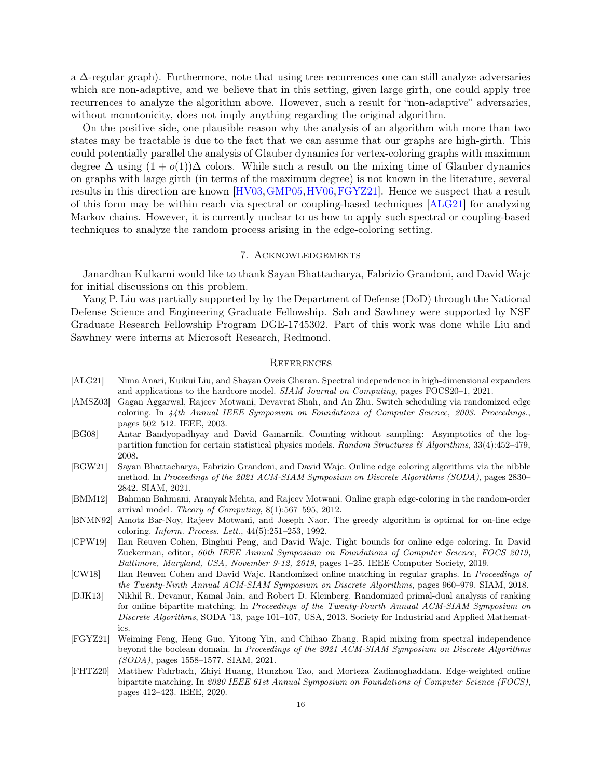a ∆-regular graph). Furthermore, note that using tree recurrences one can still analyze adversaries which are non-adaptive, and we believe that in this setting, given large girth, one could apply tree recurrences to analyze the algorithm above. However, such a result for "non-adaptive" adversaries, without monotonicity, does not imply anything regarding the original algorithm.

On the positive side, one plausible reason why the analysis of an algorithm with more than two states may be tractable is due to the fact that we can assume that our graphs are high-girth. This could potentially parallel the analysis of Glauber dynamics for vertex-coloring graphs with maximum degree  $\Delta$  using  $(1 + o(1))\Delta$  colors. While such a result on the mixing time of Glauber dynamics on graphs with large girth (in terms of the maximum degree) is not known in the literature, several results in this direction are known [\[HV03,](#page-16-14)[GMP05,](#page-16-15)[HV06,](#page-16-16)[FGYZ21\]](#page-15-10). Hence we suspect that a result of this form may be within reach via spectral or coupling-based techniques [\[ALG21\]](#page-15-7) for analyzing Markov chains. However, it is currently unclear to us how to apply such spectral or coupling-based techniques to analyze the random process arising in the edge-coloring setting.

## 7. Acknowledgements

Janardhan Kulkarni would like to thank Sayan Bhattacharya, Fabrizio Grandoni, and David Wajc for initial discussions on this problem.

Yang P. Liu was partially supported by by the Department of Defense (DoD) through the National Defense Science and Engineering Graduate Fellowship. Sah and Sawhney were supported by NSF Graduate Research Fellowship Program DGE-1745302. Part of this work was done while Liu and Sawhney were interns at Microsoft Research, Redmond.

#### **REFERENCES**

- <span id="page-15-7"></span>[ALG21] Nima Anari, Kuikui Liu, and Shayan Oveis Gharan. Spectral independence in high-dimensional expanders and applications to the hardcore model. *SIAM Journal on Computing*, pages FOCS20–1, 2021.
- <span id="page-15-1"></span>[AMSZ03] Gagan Aggarwal, Rajeev Motwani, Devavrat Shah, and An Zhu. Switch scheduling via randomized edge coloring. In *44th Annual IEEE Symposium on Foundations of Computer Science, 2003. Proceedings.*, pages 502–512. IEEE, 2003.
- <span id="page-15-6"></span>[BG08] Antar Bandyopadhyay and David Gamarnik. Counting without sampling: Asymptotics of the logpartition function for certain statistical physics models. *Random Structures & Algorithms*, 33(4):452–479, 2008.
- <span id="page-15-3"></span>[BGW21] Sayan Bhattacharya, Fabrizio Grandoni, and David Wajc. Online edge coloring algorithms via the nibble method. In *Proceedings of the 2021 ACM-SIAM Symposium on Discrete Algorithms (SODA)*, pages 2830– 2842. SIAM, 2021.
- <span id="page-15-2"></span>[BMM12] Bahman Bahmani, Aranyak Mehta, and Rajeev Motwani. Online graph edge-coloring in the random-order arrival model. *Theory of Computing*, 8(1):567–595, 2012.
- <span id="page-15-0"></span>[BNMN92] Amotz Bar-Noy, Rajeev Motwani, and Joseph Naor. The greedy algorithm is optimal for on-line edge coloring. *Inform. Process. Lett.*, 44(5):251–253, 1992.
- <span id="page-15-4"></span>[CPW19] Ilan Reuven Cohen, Binghui Peng, and David Wajc. Tight bounds for online edge coloring. In David Zuckerman, editor, *60th IEEE Annual Symposium on Foundations of Computer Science, FOCS 2019, Baltimore, Maryland, USA, November 9-12, 2019*, pages 1–25. IEEE Computer Society, 2019.
- <span id="page-15-8"></span>[CW18] Ilan Reuven Cohen and David Wajc. Randomized online matching in regular graphs. In *Proceedings of the Twenty-Ninth Annual ACM-SIAM Symposium on Discrete Algorithms*, pages 960–979. SIAM, 2018.
- <span id="page-15-5"></span>[DJK13] Nikhil R. Devanur, Kamal Jain, and Robert D. Kleinberg. Randomized primal-dual analysis of ranking for online bipartite matching. In *Proceedings of the Twenty-Fourth Annual ACM-SIAM Symposium on Discrete Algorithms*, SODA '13, page 101–107, USA, 2013. Society for Industrial and Applied Mathematics.
- <span id="page-15-10"></span>[FGYZ21] Weiming Feng, Heng Guo, Yitong Yin, and Chihao Zhang. Rapid mixing from spectral independence beyond the boolean domain. In *Proceedings of the 2021 ACM-SIAM Symposium on Discrete Algorithms (SODA)*, pages 1558–1577. SIAM, 2021.
- <span id="page-15-9"></span>[FHTZ20] Matthew Fahrbach, Zhiyi Huang, Runzhou Tao, and Morteza Zadimoghaddam. Edge-weighted online bipartite matching. In *2020 IEEE 61st Annual Symposium on Foundations of Computer Science (FOCS)*, pages 412–423. IEEE, 2020.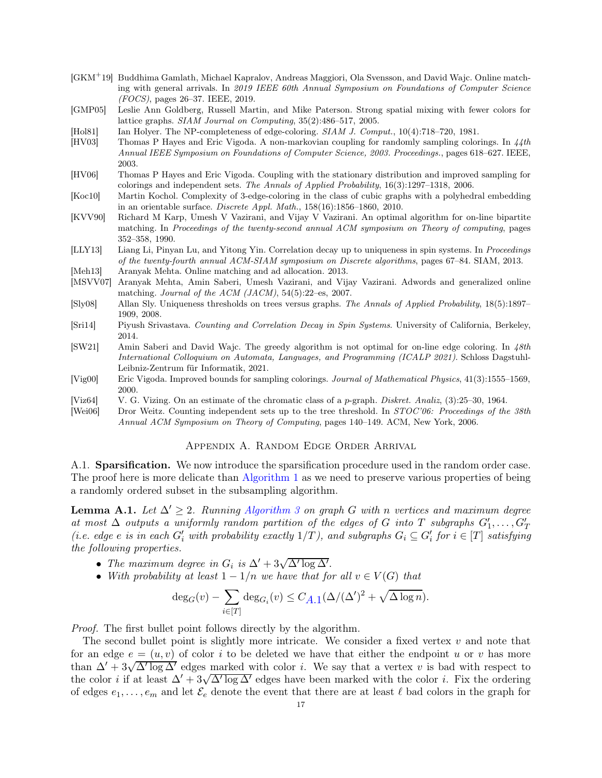- <span id="page-16-4"></span>[GKM<sup>+</sup>19] Buddhima Gamlath, Michael Kapralov, Andreas Maggiori, Ola Svensson, and David Wajc. Online matching with general arrivals. In *2019 IEEE 60th Annual Symposium on Foundations of Computer Science (FOCS)*, pages 26–37. IEEE, 2019.
- <span id="page-16-15"></span>[GMP05] Leslie Ann Goldberg, Russell Martin, and Mike Paterson. Strong spatial mixing with fewer colors for lattice graphs. *SIAM Journal on Computing*, 35(2):486–517, 2005.
- <span id="page-16-1"></span>[Hol81] Ian Holyer. The NP-completeness of edge-coloring. *SIAM J. Comput.*, 10(4):718–720, 1981.
- <span id="page-16-14"></span>[HV03] Thomas P Hayes and Eric Vigoda. A non-markovian coupling for randomly sampling colorings. In *44th Annual IEEE Symposium on Foundations of Computer Science, 2003. Proceedings.*, pages 618–627. IEEE, 2003.
- <span id="page-16-16"></span>[HV06] Thomas P Hayes and Eric Vigoda. Coupling with the stationary distribution and improved sampling for colorings and independent sets. *The Annals of Applied Probability*, 16(3):1297–1318, 2006.
- <span id="page-16-2"></span>[Koc10] Martin Kochol. Complexity of 3-edge-coloring in the class of cubic graphs with a polyhedral embedding in an orientable surface. *Discrete Appl. Math.*, 158(16):1856–1860, 2010.
- <span id="page-16-5"></span>[KVV90] Richard M Karp, Umesh V Vazirani, and Vijay V Vazirani. An optimal algorithm for on-line bipartite matching. In *Proceedings of the twenty-second annual ACM symposium on Theory of computing*, pages 352–358, 1990.
- <span id="page-16-8"></span>[LLY13] Liang Li, Pinyan Lu, and Yitong Yin. Correlation decay up to uniqueness in spin systems. In *Proceedings of the twenty-fourth annual ACM-SIAM symposium on Discrete algorithms*, pages 67–84. SIAM, 2013. [Meh13] Aranyak Mehta. Online matching and ad allocation. 2013.
- <span id="page-16-13"></span><span id="page-16-12"></span>[MSVV07] Aranyak Mehta, Amin Saberi, Umesh Vazirani, and Vijay Vazirani. Adwords and generalized online matching. *Journal of the ACM (JACM)*, 54(5):22–es, 2007.
- <span id="page-16-7"></span>[Sly08] Allan Sly. Uniqueness thresholds on trees versus graphs. *The Annals of Applied Probability*, 18(5):1897– 1909, 2008.
- <span id="page-16-10"></span>[Sri14] Piyush Srivastava. *Counting and Correlation Decay in Spin Systems*. University of California, Berkeley, 2014.
- <span id="page-16-3"></span>[SW21] Amin Saberi and David Wajc. The greedy algorithm is not optimal for on-line edge coloring. In *48th International Colloquium on Automata, Languages, and Programming (ICALP 2021)*. Schloss Dagstuhl-Leibniz-Zentrum für Informatik, 2021.
- <span id="page-16-9"></span>[Vig00] Eric Vigoda. Improved bounds for sampling colorings. *Journal of Mathematical Physics*, 41(3):1555–1569, 2000.
- <span id="page-16-0"></span>[Viz64] V. G. Vizing. On an estimate of the chromatic class of a p-graph. *Diskret. Analiz*, (3):25–30, 1964.
- <span id="page-16-11"></span><span id="page-16-6"></span>[Wei06] Dror Weitz. Counting independent sets up to the tree threshold. In *STOC'06: Proceedings of the 38th Annual ACM Symposium on Theory of Computing*, pages 140–149. ACM, New York, 2006.

# Appendix A. Random Edge Order Arrival

A.1. Sparsification. We now introduce the sparsification procedure used in the random order case. The proof here is more delicate than [Algorithm 1](#page-6-1) as we need to preserve various properties of being a randomly ordered subset in the subsampling algorithm.

<span id="page-16-17"></span>**Lemma A.1.** *Let*  $\Delta' > 2$ *. Running [Algorithm 3](#page-17-0) on graph G with n vertices and maximum degree*  $\alpha t$  *most*  $\Delta$  *outputs* a uniformly random partition of the edges of G into T subgraphs  $G'_1, \ldots, G'_T$ *(i.e. edge e is in each*  $G'_i$  *with probability exactly*  $1/T$ *), and subgraphs*  $G_i \subseteq G'_i$  *for*  $i \in [T]$  *satisfying the following properties.*

- *The maximum degree in*  $G_i$  *is*  $\Delta' + 3\sqrt{\Delta' \log \Delta'}$ .
- *With probability at least*  $1 1/n$  *we have that for all*  $v \in V(G)$  *that*

$$
\deg_G(v) - \sum_{i \in [T]} \deg_{G_i}(v) \leq C_{A,1} (\Delta/(\Delta')^2 + \sqrt{\Delta \log n}).
$$

*Proof.* The first bullet point follows directly by the algorithm.

The second bullet point is slightly more intricate. We consider a fixed vertex v and note that for an edge  $e = (u, v)$  of color i to be deleted we have that either the endpoint u or v has more than  $\Delta' + 3\sqrt{\Delta' \log \Delta'}$  edges marked with color *i*. We say that a vertex *v* is bad with respect to the color *i* if at least  $\Delta' + 3\sqrt{\Delta' \log \Delta'}$  edges have been marked with the color *i*. Fix the ordering of edges  $e_1, \ldots, e_m$  and let  $\mathcal{E}_e$  denote the event that there are at least  $\ell$  bad colors in the graph for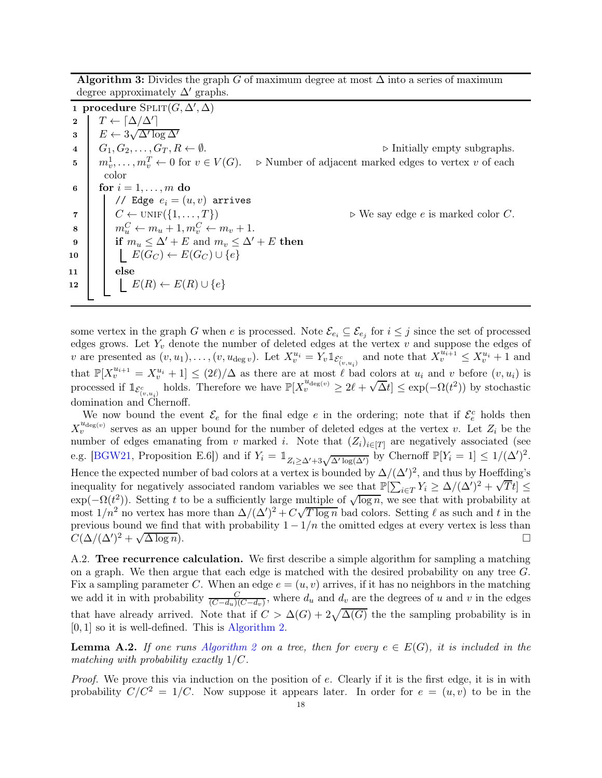Algorithm 3: Divides the graph G of maximum degree at most  $\Delta$  into a series of maximum degree approximately  $\Delta'$  graphs.

<span id="page-17-0"></span>1 procedure  $\text{SPLIT}(G,\Delta',\Delta)$ 2  $T \leftarrow \lceil \Delta / \Delta' \rceil$  $\mathbf{3}$   $E \leftarrow 3\sqrt{\Delta' \log \Delta'}$ 4  $G_1, G_2, \ldots, G_T, R \leftarrow \emptyset$ .  $\triangleright$  Initially empty subgraphs. 5  $m_v^1, \ldots, m_v^T$  $\triangleright$  Number of adjacent marked edges to vertex v of each color 6 for  $i = 1, \ldots, m$  do // Edge  $e_i = (u, v)$  arrives<br>  $C \leftarrow \text{UNIF}(\{1, ..., T\})$ 7  $\mid C \leftarrow \text{UNIF}(\{1, \ldots, T\})$   $\triangleright$  We say edge *e* is marked color *C*.  $8 \mid m_u^C \leftarrow m_u + 1, m_v^C \leftarrow m_v + 1.$ 9 if  $m_u \leq \Delta' + E$  and  $m_v \leq \Delta' + E$  then 10  $\vert \vert E(G_C) \leftarrow E(G_C) \cup \{e\}$  $11$  else 12  $\left| \quad \right| E(R) \leftarrow E(R) \cup \{e\}$ 

some vertex in the graph G when e is processed. Note  $\mathcal{E}_{e_i} \subseteq \mathcal{E}_{e_j}$  for  $i \leq j$  since the set of processed edges grows. Let  $Y_v$  denote the number of deleted edges at the vertex  $v$  and suppose the edges of v are presented as  $(v, u_1), \ldots, (v, u_{\deg v})$ . Let  $X_v^{u_i} = Y_v \mathbb{1}_{\mathcal{E}_{(v, u_i)}^c}$  and note that  $X_v^{u_{i+1}} \leq X_v^{u_i} + 1$  and that  $\mathbb{P}[X^{u_{i+1}}_v = X^{u_i}_v + 1] \leq (2\ell)/\Delta$  as there are at most  $\ell$  bad colors at  $u_i$  and  $v$  before  $(v, u_i)$  is processed if  $\mathbb{1}_{\mathcal{E}_{(v,u_i)}^c}$  holds. Therefore we have  $\mathbb{P}[X_v^{u_{\text{deg}(v)}} \geq 2\ell + \sqrt{\Delta}t] \leq \exp(-\Omega(t^2))$  by stochastic domination and Chernoff.

We now bound the event  $\mathcal{E}_e$  for the final edge e in the ordering; note that if  $\mathcal{E}_e^c$  holds then  $X_v^{u_{\text{deg}(v)}}$  serves as an upper bound for the number of deleted edges at the vertex v. Let  $Z_i$  be the number of edges emanating from v marked i. Note that  $(Z_i)_{i\in[T]}$  are negatively associated (see e.g. [\[BGW21,](#page-15-3) Proposition E.6]) and if  $Y_i = \mathbb{1}_{Z_i \geq \Delta' + 3\sqrt{\Delta' \log(\Delta')}}$  by Chernoff  $\mathbb{P}[Y_i = 1] \leq 1/(\Delta')^2$ . Hence the expected number of bad colors at a vertex is bounded by  $\Delta/(\Delta')^2$ , and thus by Hoeffding's inequality for negatively associated random variables we see that  $\mathbb{P}[\sum_{i\in T} Y_i \ge \Delta/(\Delta')^2 + \sqrt{T}t] \le$  $\exp(-\Omega(t^2))$ . Setting t to be a sufficiently large multiple of  $\sqrt{\log n}$ , we see that with probability at most  $1/n^2$  no vertex has more than  $\Delta/(\Delta')^2 + C\sqrt{T \log n}$  bad colors. Setting  $\ell$  as such and t in the previous bound we find that with probability  $1 - 1/n$  the omitted edges at every vertex is less than  $C(\Delta/(\Delta')^2 + \sqrt{\Delta \log n})$ .  $C(\Delta/(\Delta')^2 + \sqrt{\frac{2}{\lambda}})$  $\overline{\Delta \log n}$ ).

A.2. Tree recurrence calculation. We first describe a simple algorithm for sampling a matching on a graph. We then argue that each edge is matched with the desired probability on any tree G. Fix a sampling parameter C. When an edge  $e = (u, v)$  arrives, if it has no neighbors in the matching we add it in with probability  $\frac{C}{(C-d_u)(C-d_v)}$ , where  $d_u$  and  $d_v$  are the degrees of u and v in the edges that have already arrived. Note that if  $C > \Delta(G) + 2\sqrt{\Delta(G)}$  the the sampling probability is in  $[0, 1]$  so it is well-defined. This is [Algorithm 2.](#page-8-2)

<span id="page-17-1"></span>**Lemma A.2.** *If one runs [Algorithm 2](#page-8-2) on a tree, then for every*  $e \in E(G)$ *, it is included in the matching with probability exactly* 1/C*.*

*Proof.* We prove this via induction on the position of e. Clearly if it is the first edge, it is in with probability  $C/C^2 = 1/C$ . Now suppose it appears later. In order for  $e = (u, v)$  to be in the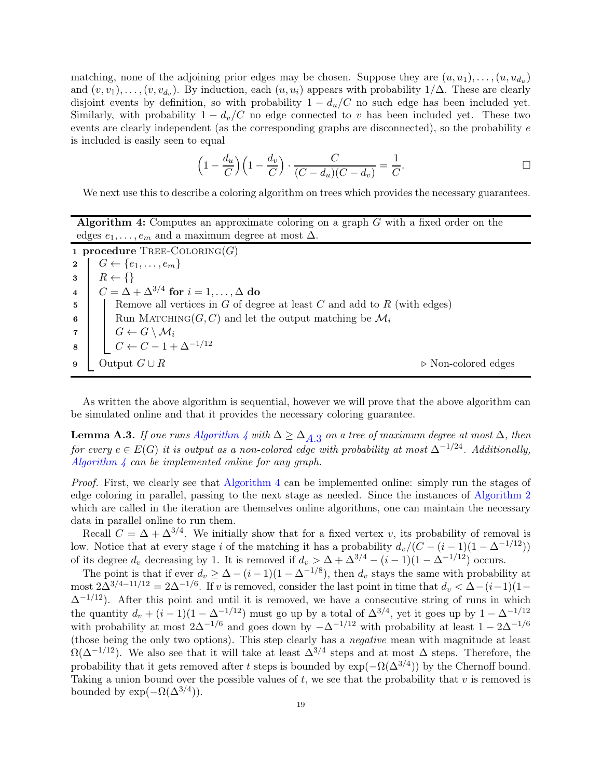matching, none of the adjoining prior edges may be chosen. Suppose they are  $(u, u_1), \ldots, (u, u_{d_u})$ and  $(v, v_1), \ldots, (v, v_{d_v})$ . By induction, each  $(u, u_i)$  appears with probability  $1/\Delta$ . These are clearly disjoint events by definition, so with probability  $1 - d_u/C$  no such edge has been included yet. Similarly, with probability  $1 - d_v/C$  no edge connected to v has been included yet. These two events are clearly independent (as the corresponding graphs are disconnected), so the probability e is included is easily seen to equal

$$
\left(1 - \frac{d_u}{C}\right)\left(1 - \frac{d_v}{C}\right) \cdot \frac{C}{(C - d_u)(C - d_v)} = \frac{1}{C}.
$$

We next use this to describe a coloring algorithm on trees which provides the necessary guarantees.

Algorithm 4: Computes an approximate coloring on a graph G with a fixed order on the edges  $e_1, \ldots, e_m$  and a maximum degree at most  $\Delta$ .

<span id="page-18-2"></span><span id="page-18-0"></span>1 procedure  $TREE\text{-}\mathrm{COLORING}(G)$ 2  $G \leftarrow \{e_1, \ldots, e_m\}$  $\mathbf{3} \mid R \leftarrow \{\}$  $\begin{array}{c} \texttt{4} \end{array} \begin{array}{c} \begin{array}{c} \end{array} C = \Delta + \Delta^{3/4} \text{ for } i = 1, \ldots, \Delta \text{ do} \end{array}$  $\mathfrak{g}$  Remove all vertices in G of degree at least C and add to R (with edges) 6 | Run MATCHING( $G, C$ ) and let the output matching be  $\mathcal{M}_i$ 7  $G \leftarrow G \setminus \mathcal{M}_i$  $\begin{array}{c|c} \mathbf{8} & C \leftarrow C - 1 + \Delta^{-1/12} \end{array}$ 9 Output  $G \cup R$  ⊳ Non-colored edges

<span id="page-18-1"></span>As written the above algorithm is sequential, however we will prove that the above algorithm can be simulated online and that it provides the necessary coloring guarantee.

*If one runs [Algorithm 4](#page-18-0) with* $Δ ≥ Δ<sub>A.3</sub>$  $Δ ≥ Δ<sub>A.3</sub>$  $Δ ≥ Δ<sub>A.3</sub>$ *on a tree of maximum degree at most* $Δ$ *, then for every*  $e \in E(G)$  *it is output as a non-colored edge with probability at most*  $\Delta^{-1/24}$ *. Additionally, [Algorithm 4](#page-18-0) can be implemented online for any graph.*

*Proof.* First, we clearly see that [Algorithm 4](#page-18-0) can be implemented online: simply run the stages of edge coloring in parallel, passing to the next stage as needed. Since the instances of [Algorithm 2](#page-8-2) which are called in the iteration are themselves online algorithms, one can maintain the necessary data in parallel online to run them.

Recall  $C = \Delta + \Delta^{3/4}$ . We initially show that for a fixed vertex v, its probability of removal is low. Notice that at every stage i of the matching it has a probability  $d_v/(C - (i-1)(1 - \Delta^{-1/12}))$ of its degree  $d_v$  decreasing by 1. It is removed if  $d_v > \Delta + \Delta^{3/4} - (i-1)(1-\Delta^{-1/12})$  occurs.

The point is that if ever  $d_v \geq \Delta - (i-1)(1-\Delta^{-1/8})$ , then  $d_v$  stays the same with probability at most  $2\Delta^{3/4-11/12} = 2\Delta^{-1/6}$ . If v is removed, consider the last point in time that  $d_v < \Delta - (i-1)(1-\Delta)^{1/12}$  $\Delta^{-1/12}$ ). After this point and until it is removed, we have a consecutive string of runs in which the quantity  $d_v + (i-1)(1 - \Delta^{-1/12})$  must go up by a total of  $\Delta^{3/4}$ , yet it goes up by  $1 - \Delta^{-1/12}$ with probability at most  $2\Delta^{-1/6}$  and goes down by  $-\Delta^{-1/12}$  with probability at least  $1-2\Delta^{-1/6}$ (those being the only two options). This step clearly has a *negative* mean with magnitude at least  $\Omega(\Delta^{-1/12})$ . We also see that it will take at least  $\Delta^{3/4}$  steps and at most  $\Delta$  steps. Therefore, the probability that it gets removed after t steps is bounded by  $\exp(-\Omega(\Delta^{3/4}))$  by the Chernoff bound. Taking a union bound over the possible values of  $t$ , we see that the probability that  $v$  is removed is bounded by  $\exp(-\Omega(\Delta^{3/4}))$ .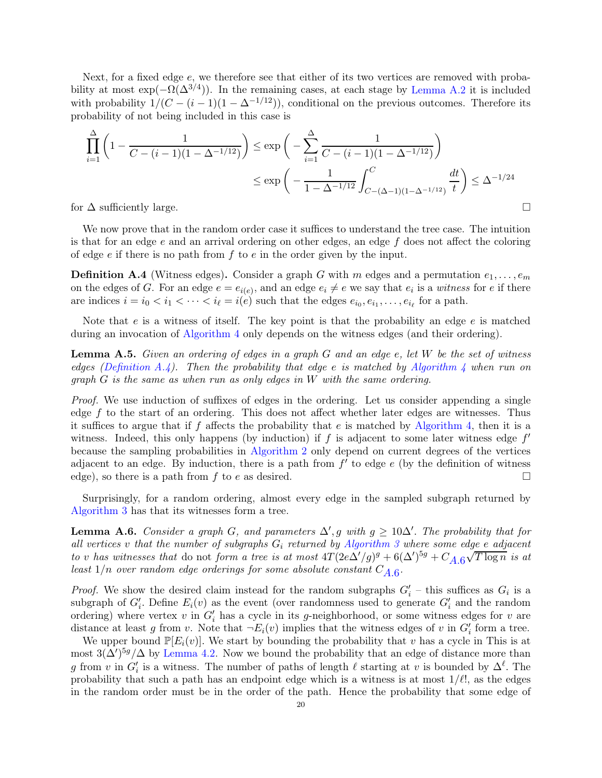Next, for a fixed edge e, we therefore see that either of its two vertices are removed with probability at most  $\exp(-\Omega(\Delta^{3/4}))$ . In the remaining cases, at each stage by [Lemma A.2](#page-17-1) it is included with probability  $1/(C - (i - 1)(1 - \Delta^{-1/12}))$ , conditional on the previous outcomes. Therefore its probability of not being included in this case is

$$
\prod_{i=1}^{\Delta} \left( 1 - \frac{1}{C - (i - 1)(1 - \Delta^{-1/12})} \right) \le \exp\left( -\sum_{i=1}^{\Delta} \frac{1}{C - (i - 1)(1 - \Delta^{-1/12})} \right)
$$
  

$$
\le \exp\left( -\frac{1}{1 - \Delta^{-1/12}} \int_{C - (\Delta - 1)(1 - \Delta^{-1/12})}^{C} \frac{dt}{t} \right) \le \Delta^{-1/24}
$$

for  $\Delta$  sufficiently large.

We now prove that in the random order case it suffices to understand the tree case. The intuition is that for an edge  $e$  and an arrival ordering on other edges, an edge  $f$  does not affect the coloring of edge  $e$  if there is no path from  $f$  to  $e$  in the order given by the input.

<span id="page-19-0"></span>**Definition A.4** (Witness edges). Consider a graph G with m edges and a permutation  $e_1, \ldots, e_m$ on the edges of G. For an edge  $e = e_{i(e)}$ , and an edge  $e_i \neq e$  we say that  $e_i$  is a *witness* for e if there are indices  $i = i_0 < i_1 < \cdots < i_\ell = i(e)$  such that the edges  $e_{i_0}, e_{i_1}, \ldots, e_{i_\ell}$  for a path.

Note that  $e$  is a witness of itself. The key point is that the probability an edge  $e$  is matched during an invocation of [Algorithm 4](#page-18-0) only depends on the witness edges (and their ordering).

Lemma A.5. *Given an ordering of edges in a graph* G *and an edge* e*, let* W *be the set of witness edges [\(Definition A.4\)](#page-19-0). Then the probability that edge* e *is matched by [Algorithm 4](#page-18-0) when run on graph* G *is the same as when run as only edges in* W *with the same ordering.*

*Proof.* We use induction of suffixes of edges in the ordering. Let us consider appending a single edge f to the start of an ordering. This does not affect whether later edges are witnesses. Thus it suffices to argue that if f affects the probability that  $e$  is matched by [Algorithm 4,](#page-18-0) then it is a witness. Indeed, this only happens (by induction) if  $f$  is adjacent to some later witness edge  $f'$ because the sampling probabilities in [Algorithm 2](#page-8-2) only depend on current degrees of the vertices adjacent to an edge. By induction, there is a path from  $f'$  to edge  $e$  (by the definition of witness edge), so there is a path from f to e as desired.

<span id="page-19-1"></span>Surprisingly, for a random ordering, almost every edge in the sampled subgraph returned by [Algorithm 3](#page-17-0) has that its witnesses form a tree.

**Lemma A.6.** *Consider a graph G*, and parameters  $\Delta'$ , g with  $g \geq 10\Delta'$ . The probability that for *all vertices* v *that the number of subgraphs* G<sup>i</sup> *returned by [Algorithm 3](#page-17-0) where some edge* e *adjacent to* v *has witnesses that* do not *form a tree is at most*  $4T(2e\Delta'/g)^g + 6(\Delta')^{5g} + C_{A.6}\sqrt{T \log n}$  *is at*  $\emph{least 1/n over random edge orderings for some absolute constant $C_{A,6}$}.$ 

*Proof.* We show the desired claim instead for the random subgraphs  $G'_{i}$  – this suffices as  $G_{i}$  is a subgraph of  $G'_{i}$ . Define  $E_{i}(v)$  as the event (over randomness used to generate  $G'_{i}$  and the random ordering) where vertex  $v$  in  $G'_{i}$  has a cycle in its g-neighborhood, or some witness edges for  $v$  are distance at least g from v. Note that  $\neg E_i(v)$  implies that the witness edges of v in  $G'_i$  form a tree.

We upper bound  $\mathbb{P}[E_i(v)]$ . We start by bounding the probability that v has a cycle in This is at most  $3(\Delta')^{5g}/\Delta$  by [Lemma 4.2.](#page-6-3) Now we bound the probability that an edge of distance more than g from v in  $G'_i$  is a witness. The number of paths of length  $\ell$  starting at v is bounded by  $\Delta^{\ell}$ . The probability that such a path has an endpoint edge which is a witness is at most  $1/\ell!$ , as the edges in the random order must be in the order of the path. Hence the probability that some edge of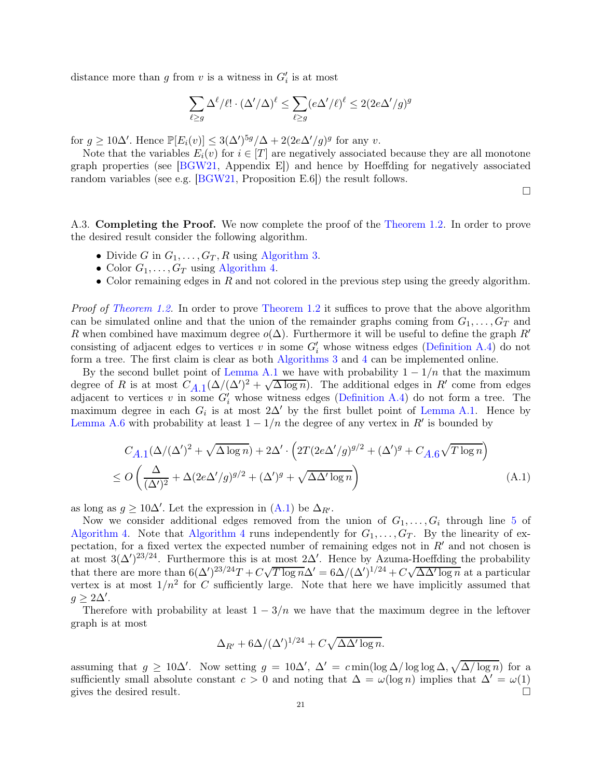distance more than g from v is a witness in  $G'_{i}$  is at most

$$
\sum_{\ell \ge g} \Delta^\ell/\ell! \cdot (\Delta'/\Delta)^\ell \le \sum_{\ell \ge g} (e\Delta'/\ell)^\ell \le 2(2e\Delta'/g)^g
$$

for  $g \geq 10\Delta'$ . Hence  $\mathbb{P}[E_i(v)] \leq 3(\Delta')^{5g}/\Delta + 2(2e\Delta'/g)^g$  for any v.

Note that the variables  $E_i(v)$  for  $i \in [T]$  are negatively associated because they are all monotone graph properties (see  $[BGW21,$  Appendix E) and hence by Hoeffding for negatively associated random variables (see e.g. [\[BGW21,](#page-15-3) Proposition E.6]) the result follows.

<span id="page-20-0"></span> $\Box$ 

A.3. Completing the Proof. We now complete the proof of the [Theorem 1.2.](#page-1-1) In order to prove the desired result consider the following algorithm.

- Divide G in  $G_1, \ldots, G_T, R$  using [Algorithm 3.](#page-17-0)
- Color  $G_1, \ldots, G_T$  using [Algorithm 4.](#page-18-0)
- Color remaining edges in  $R$  and not colored in the previous step using the greedy algorithm.

*Proof of [Theorem 1.2.](#page-1-1)* In order to prove [Theorem 1.2](#page-1-1) it suffices to prove that the above algorithm can be simulated online and that the union of the remainder graphs coming from  $G_1, \ldots, G_T$  and R when combined have maximum degree  $o(\Delta)$ . Furthermore it will be useful to define the graph R<sup>'</sup> consisting of adjacent edges to vertices  $v$  in some  $G'_{i}$  whose witness edges [\(Definition A.4\)](#page-19-0) do not form a tree. The first claim is clear as both [Algorithms 3](#page-17-0) and [4](#page-18-0) can be implemented online.

By the second bullet point of [Lemma A.1](#page-16-17) we have with probability  $1 - 1/n$  that the maximum degree of R is at most  $C_{A,1}(\Delta/(\Delta')^2 + \sqrt{\Delta \log n})$ . The additional edges in R' come from edges adjacent to vertices v in some  $G'_{i}$  whose witness edges [\(Definition A.4\)](#page-19-0) do not form a tree. The maximum degree in each  $G_i$  is at most 2 $\Delta'$  by the first bullet point of [Lemma A.1.](#page-16-17) Hence by [Lemma A.6](#page-19-1) with probability at least  $1 - 1/n$  the degree of any vertex in  $R'$  is bounded by

$$
C_{A.1}(\Delta/(\Delta')^{2} + \sqrt{\Delta \log n}) + 2\Delta' \cdot \left(2T(2e\Delta'/g)^{g/2} + (\Delta')^{g} + C_{A.6}\sqrt{T \log n}\right)
$$
  
\n
$$
\leq O\left(\frac{\Delta}{(\Delta')^{2}} + \Delta(2e\Delta'/g)^{g/2} + (\Delta')^{g} + \sqrt{\Delta \Delta' \log n}\right)
$$
\n(A.1)

as long as  $g \ge 10\Delta'$ . Let the expression in [\(A.1\)](#page-20-0) be  $\Delta_{R'}$ .

Now we consider additional edges removed from the union of  $G_1, \ldots, G_i$  through line [5](#page-18-2) of [Algorithm 4.](#page-18-0) Note that [Algorithm 4](#page-18-0) runs independently for  $G_1, \ldots, G_T$ . By the linearity of expectation, for a fixed vertex the expected number of remaining edges not in  $R'$  and not chosen is at most  $3(\Delta')^{23/24}$ . Furthermore this is at most  $2\Delta'$ . Hence by Azuma-Hoeffding the probability that there are more than  $6(\Delta')^{23/24}T + C\sqrt{T \log n} \Delta' = 6\Delta/(\Delta')^{1/24} + C\sqrt{\Delta \Delta' \log n}$  at a particular vertex is at most  $1/n^2$  for C sufficiently large. Note that here we have implicitly assumed that  $g \geq 2\Delta'$ .

Therefore with probability at least  $1 - 3/n$  we have that the maximum degree in the leftover graph is at most

$$
\Delta_{R'} + 6\Delta/(\Delta')^{1/24} + C\sqrt{\Delta\Delta'\log n}.
$$

assuming that  $g \ge 10\Delta'$ . Now setting  $g = 10\Delta'$ ,  $\Delta' = c \min(\log \Delta / \log \log \Delta, \sqrt{\Delta / \log n})$  for a sufficiently small absolute constant  $c > 0$  and noting that  $\Delta = \omega(\log n)$  implies that  $\Delta' = \omega(1)$ gives the desired result.  $\Box$